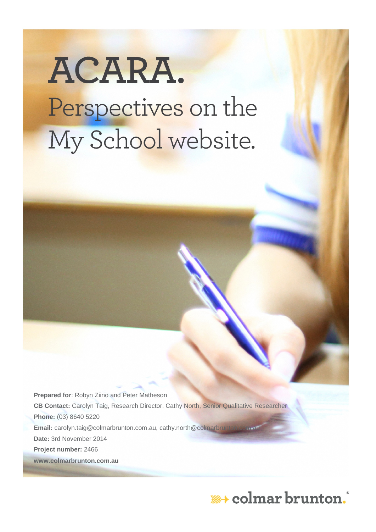# ACARA. Perspectives on the My School website.

**Prepared for**: Robyn Ziino and Peter Matheson **CB Contact:** Carolyn Taig, Research Director. Cathy North, Senior Qualitative Researcher **Phone:** (03) 8640 5220 **Email:** [carolyn.taig@colmarbrunton.com.au,](mailto:carolyn.taig@colmarbrunton.com.au) cathy.north@colmarbru **Date:** 3rd November 2014 **Project number:** 2466 **www.colmarbrunton.com.au**

## \*\*\* colmar brunton.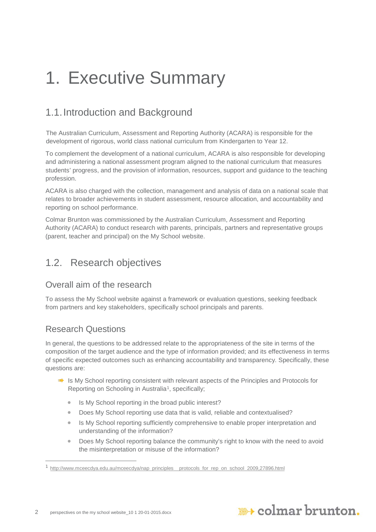## <span id="page-1-1"></span>1. Executive Summary

## <span id="page-1-2"></span>1.1.Introduction and Background

The Australian Curriculum, Assessment and Reporting Authority (ACARA) is responsible for the development of rigorous, world class national curriculum from Kindergarten to Year 12.

To complement the development of a national curriculum, ACARA is also responsible for developing and administering a national assessment program aligned to the national curriculum that measures students' progress, and the provision of information, resources, support and guidance to the teaching profession.

ACARA is also charged with the collection, management and analysis of data on a national scale that relates to broader achievements in student assessment, resource allocation, and accountability and reporting on school performance.

Colmar Brunton was commissioned by the Australian Curriculum, Assessment and Reporting Authority (ACARA) to conduct research with parents, principals, partners and representative groups (parent, teacher and principal) on the My School website.

## <span id="page-1-3"></span>1.2. Research objectives

## Overall aim of the research

To assess the My School website against a framework or evaluation questions, seeking feedback from partners and key stakeholders, specifically school principals and parents.

## Research Questions

 $\overline{a}$ 

In general, the questions to be addressed relate to the appropriateness of the site in terms of the composition of the target audience and the type of information provided; and its effectiveness in terms of specific expected outcomes such as enhancing accountability and transparency. Specifically, these questions are:

- Is My School reporting consistent with relevant aspects of the Principles and Protocols for Reporting on Schooling in Australia<sup>[1](#page-1-0)</sup>, specifically;
	- Is My School reporting in the broad public interest?
	- Does My School reporting use data that is valid, reliable and contextualised?
	- Is My School reporting sufficiently comprehensive to enable proper interpretation and understanding of the information?
	- Does My School reporting balance the community's right to know with the need to avoid the misinterpretation or misuse of the information?

<span id="page-1-0"></span><sup>1</sup> [http://www.mceecdya.edu.au/mceecdya/nap\\_principles\\_\\_protocols\\_for\\_rep\\_on\\_school\\_2009,27896.html](http://www.mceecdya.edu.au/mceecdya/nap_principles__protocols_for_rep_on_school_2009,27896.html)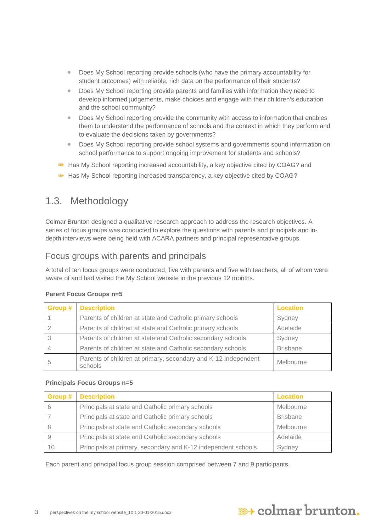- Does My School reporting provide schools (who have the primary accountability for student outcomes) with reliable, rich data on the performance of their students?
- Does My School reporting provide parents and families with information they need to develop informed judgements, make choices and engage with their children's education and the school community?
- Does My School reporting provide the community with access to information that enables them to understand the performance of schools and the context in which they perform and to evaluate the decisions taken by governments?
- Does My School reporting provide school systems and governments sound information on school performance to support ongoing improvement for students and schools?
- Has My School reporting increased accountability, a key objective cited by COAG? and
- Has My School reporting increased transparency, a key objective cited by COAG?

## <span id="page-2-0"></span>1.3. Methodology

Colmar Brunton designed a qualitative research approach to address the research objectives. A series of focus groups was conducted to explore the questions with parents and principals and indepth interviews were being held with ACARA partners and principal representative groups.

### Focus groups with parents and principals

A total of ten focus groups were conducted, five with parents and five with teachers, all of whom were aware of and had visited the My School website in the previous 12 months.

| Group # | <b>Description</b>                                                        | <b>Location</b> |
|---------|---------------------------------------------------------------------------|-----------------|
|         | Parents of children at state and Catholic primary schools                 | Sydney          |
|         | Parents of children at state and Catholic primary schools                 | Adelaide        |
|         | Parents of children at state and Catholic secondary schools               | Sydney          |
|         | Parents of children at state and Catholic secondary schools               | <b>Brisbane</b> |
|         | Parents of children at primary, secondary and K-12 Independent<br>schools | Melbourne       |

#### **Parent Focus Groups n=5**

#### **Principals Focus Groups n=5**

|    | <b>Group # Description</b>                                    | Location        |
|----|---------------------------------------------------------------|-----------------|
| 6  | Principals at state and Catholic primary schools              | Melbourne       |
|    | Principals at state and Catholic primary schools              | <b>Brisbane</b> |
|    | Principals at state and Catholic secondary schools            | Melbourne       |
|    | Principals at state and Catholic secondary schools            | Adelaide        |
| 10 | Principals at primary, secondary and K-12 independent schools | Sydney          |

Each parent and principal focus group session comprised between 7 and 9 participants.

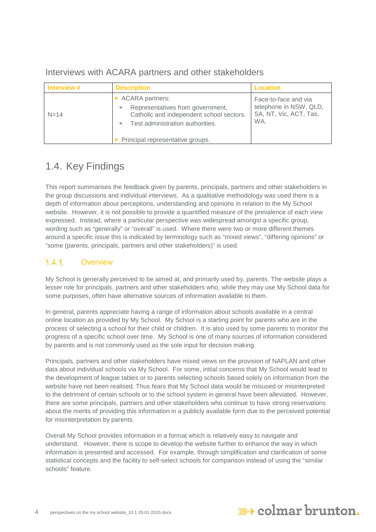**Interview # Description Description According Location**  $N=14$ • ACARA partners: • Representatives from government, Catholic and independent school sectors. • Test administration authorities. • Principal representative groups. Face-to-face and via telephone in NSW, QLD, SA, NT, Vic, ACT, Tas, WA.

### Interviews with ACARA partners and other stakeholders

## <span id="page-3-0"></span>1.4. Key Findings

This report summarises the feedback given by parents, principals, partners and other stakeholders in the group discussions and individual interviews. As a qualitative methodology was used there is a depth of information about perceptions, understanding and opinions in relation to the My School website. However, it is not possible to provide a quantified measure of the prevalence of each view expressed. Instead, where a particular perspective was widespread amongst a specific group, wording such as "generally" or "overall" is used. Where there were two or more different themes around a specific issue this is indicated by terminology such as "mixed views", "differing opinions" or "some (parents, principals, partners and other stakeholders)" is used.

#### $1.4.1.$ **Overview**

My School is generally perceived to be aimed at, and primarily used by, parents. The website plays a lesser role for principals, partners and other stakeholders who, while they may use My School data for some purposes, often have alternative sources of information available to them.

In general, parents appreciate having a range of information about schools available in a central online location as provided by My School. My School is a starting point for parents who are in the process of selecting a school for their child or children. It is also used by some parents to monitor the progress of a specific school over time. My School is one of many sources of information considered by parents and is not commonly used as the sole input for decision making.

Principals, partners and other stakeholders have mixed views on the provision of NAPLAN and other data about individual schools via My School. For some, initial concerns that My School would lead to the development of league tables or to parents selecting schools based solely on information from the website have not been realised. Thus fears that My School data would be misused or misinterpreted to the detriment of certain schools or to the school system in general have been alleviated. However, there are some principals, partners and other stakeholders who continue to have strong reservations about the merits of providing this information in a publicly available form due to the perceived potential for misinterpretation by parents.

Overall My School provides information in a format which is relatively easy to navigate and understand. However, there is scope to develop the website further to enhance the way in which information is presented and accessed. For example, through simplification and clarification of some statistical concepts and the facility to self-select schools for comparison instead of using the "similar schools" feature.

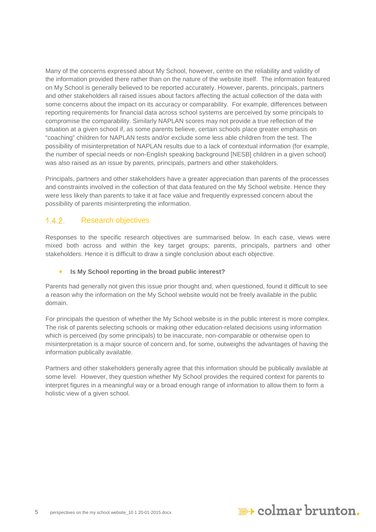Many of the concerns expressed about My School, however, centre on the reliability and validity of the information provided there rather than on the nature of the website itself. The information featured on My School is generally believed to be reported accurately. However, parents, principals, partners and other stakeholders all raised issues about factors affecting the actual collection of the data with some concerns about the impact on its accuracy or comparability. For example, differences between reporting requirements for financial data across school systems are perceived by some principals to compromise the comparability. Similarly NAPLAN scores may not provide a true reflection of the situation at a given school if, as some parents believe, certain schools place greater emphasis on "coaching" children for NAPLAN tests and/or exclude some less able children from the test. The possibility of misinterpretation of NAPLAN results due to a lack of contextual information (for example, the number of special needs or non-English speaking background [NESB] children in a given school) was also raised as an issue by parents, principals, partners and other stakeholders.

Principals, partners and other stakeholders have a greater appreciation than parents of the processes and constraints involved in the collection of that data featured on the My School website. Hence they were less likely than parents to take it at face value and frequently expressed concern about the possibility of parents misinterpreting the information.

#### $1.4.2.$ Research objectives

Responses to the specific research objectives are summarised below. In each case, views were mixed both across and within the key target groups; parents, principals, partners and other stakeholders. Hence it is difficult to draw a single conclusion about each objective.

#### • **Is My School reporting in the broad public interest?**

Parents had generally not given this issue prior thought and, when questioned, found it difficult to see a reason why the information on the My School website would not be freely available in the public domain.

For principals the question of whether the My School website is in the public interest is more complex. The risk of parents selecting schools or making other education-related decisions using information which is perceived (by some principals) to be inaccurate, non-comparable or otherwise open to misinterpretation is a major source of concern and, for some, outweighs the advantages of having the information publically available.

Partners and other stakeholders generally agree that this information should be publically available at some level. However, they question whether My School provides the required context for parents to interpret figures in a meaningful way or a broad enough range of information to allow them to form a holistic view of a given school.

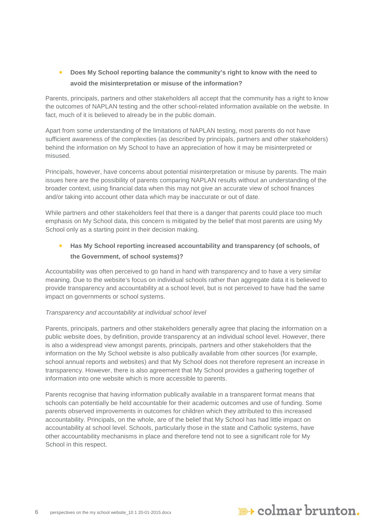#### • **Does My School reporting balance the community's right to know with the need to avoid the misinterpretation or misuse of the information?**

Parents, principals, partners and other stakeholders all accept that the community has a right to know the outcomes of NAPLAN testing and the other school-related information available on the website. In fact, much of it is believed to already be in the public domain.

Apart from some understanding of the limitations of NAPLAN testing, most parents do not have sufficient awareness of the complexities (as described by principals, partners and other stakeholders) behind the information on My School to have an appreciation of how it may be misinterpreted or misused.

Principals, however, have concerns about potential misinterpretation or misuse by parents. The main issues here are the possibility of parents comparing NAPLAN results without an understanding of the broader context, using financial data when this may not give an accurate view of school finances and/or taking into account other data which may be inaccurate or out of date.

While partners and other stakeholders feel that there is a danger that parents could place too much emphasis on My School data, this concern is mitigated by the belief that most parents are using My School only as a starting point in their decision making.

#### • **Has My School reporting increased accountability and transparency (of schools, of the Government, of school systems)?**

Accountability was often perceived to go hand in hand with transparency and to have a very similar meaning. Due to the website's focus on individual schools rather than aggregate data it is believed to provide transparency and accountability at a school level, but is not perceived to have had the same impact on governments or school systems.

#### *Transparency and accountability at individual school level*

Parents, principals, partners and other stakeholders generally agree that placing the information on a public website does, by definition, provide transparency at an individual school level. However, there is also a widespread view amongst parents, principals, partners and other stakeholders that the information on the My School website is also publically available from other sources (for example, school annual reports and websites) and that My School does not therefore represent an increase in transparency. However, there is also agreement that My School provides a gathering together of information into one website which is more accessible to parents.

Parents recognise that having information publically available in a transparent format means that schools can potentially be held accountable for their academic outcomes and use of funding. Some parents observed improvements in outcomes for children which they attributed to this increased accountability. Principals, on the whole, are of the belief that My School has had little impact on accountability at school level. Schools, particularly those in the state and Catholic systems, have other accountability mechanisms in place and therefore tend not to see a significant role for My School in this respect.

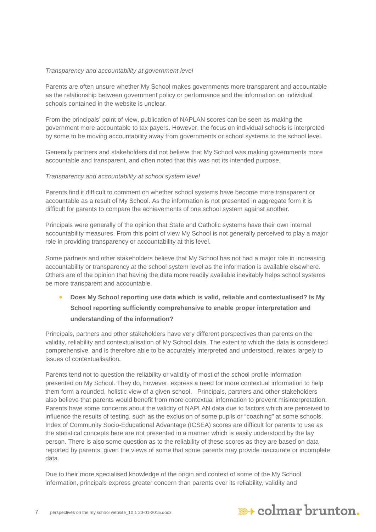#### *Transparency and accountability at government level*

Parents are often unsure whether My School makes governments more transparent and accountable as the relationship between government policy or performance and the information on individual schools contained in the website is unclear.

From the principals' point of view, publication of NAPLAN scores can be seen as making the government more accountable to tax payers. However, the focus on individual schools is interpreted by some to be moving accountability away from governments or school systems to the school level.

Generally partners and stakeholders did not believe that My School was making governments more accountable and transparent, and often noted that this was not its intended purpose.

#### *Transparency and accountability at school system level*

Parents find it difficult to comment on whether school systems have become more transparent or accountable as a result of My School. As the information is not presented in aggregate form it is difficult for parents to compare the achievements of one school system against another.

Principals were generally of the opinion that State and Catholic systems have their own internal accountability measures. From this point of view My School is not generally perceived to play a major role in providing transparency or accountability at this level.

Some partners and other stakeholders believe that My School has not had a major role in increasing accountability or transparency at the school system level as the information is available elsewhere. Others are of the opinion that having the data more readily available inevitably helps school systems be more transparent and accountable.

• **Does My School reporting use data which is valid, reliable and contextualised? Is My School reporting sufficiently comprehensive to enable proper interpretation and understanding of the information?**

Principals, partners and other stakeholders have very different perspectives than parents on the validity, reliability and contextualisation of My School data. The extent to which the data is considered comprehensive, and is therefore able to be accurately interpreted and understood, relates largely to issues of contextualisation.

Parents tend not to question the reliability or validity of most of the school profile information presented on My School. They do, however, express a need for more contextual information to help them form a rounded, holistic view of a given school. Principals, partners and other stakeholders also believe that parents would benefit from more contextual information to prevent misinterpretation. Parents have some concerns about the validity of NAPLAN data due to factors which are perceived to influence the results of testing, such as the exclusion of some pupils or "coaching" at some schools. Index of Community Socio-Educational Advantage (ICSEA) scores are difficult for parents to use as the statistical concepts here are not presented in a manner which is easily understood by the lay person. There is also some question as to the reliability of these scores as they are based on data reported by parents, given the views of some that some parents may provide inaccurate or incomplete data.

Due to their more specialised knowledge of the origin and context of some of the My School information, principals express greater concern than parents over its reliability, validity and

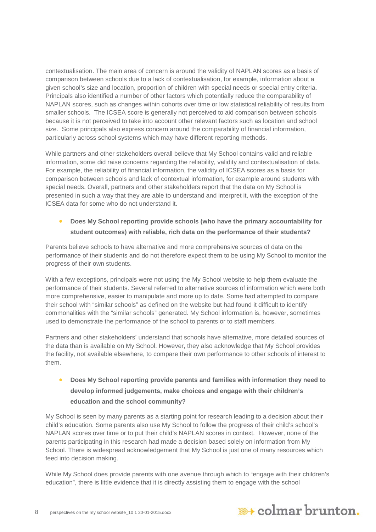contextualisation. The main area of concern is around the validity of NAPLAN scores as a basis of comparison between schools due to a lack of contextualisation, for example, information about a given school's size and location, proportion of children with special needs or special entry criteria. Principals also identified a number of other factors which potentially reduce the comparability of NAPLAN scores, such as changes within cohorts over time or low statistical reliability of results from smaller schools. The ICSEA score is generally not perceived to aid comparison between schools because it is not perceived to take into account other relevant factors such as location and school size. Some principals also express concern around the comparability of financial information, particularly across school systems which may have different reporting methods.

While partners and other stakeholders overall believe that My School contains valid and reliable information, some did raise concerns regarding the reliability, validity and contextualisation of data. For example, the reliability of financial information, the validity of ICSEA scores as a basis for comparison between schools and lack of contextual information, for example around students with special needs. Overall, partners and other stakeholders report that the data on My School is presented in such a way that they are able to understand and interpret it, with the exception of the ICSEA data for some who do not understand it.

#### • **Does My School reporting provide schools (who have the primary accountability for student outcomes) with reliable, rich data on the performance of their students?**

Parents believe schools to have alternative and more comprehensive sources of data on the performance of their students and do not therefore expect them to be using My School to monitor the progress of their own students.

With a few exceptions, principals were not using the My School website to help them evaluate the performance of their students. Several referred to alternative sources of information which were both more comprehensive, easier to manipulate and more up to date. Some had attempted to compare their school with "similar schools" as defined on the website but had found it difficult to identify commonalities with the "similar schools" generated. My School information is, however, sometimes used to demonstrate the performance of the school to parents or to staff members.

Partners and other stakeholders' understand that schools have alternative, more detailed sources of the data than is available on My School. However, they also acknowledge that My School provides the facility, not available elsewhere, to compare their own performance to other schools of interest to them.

### • **Does My School reporting provide parents and families with information they need to develop informed judgements, make choices and engage with their children's education and the school community?**

My School is seen by many parents as a starting point for research leading to a decision about their child's education. Some parents also use My School to follow the progress of their child's school's NAPLAN scores over time or to put their child's NAPLAN scores in context. However, none of the parents participating in this research had made a decision based solely on information from My School. There is widespread acknowledgement that My School is just one of many resources which feed into decision making.

While My School does provide parents with one avenue through which to "engage with their children's education", there is little evidence that it is directly assisting them to engage with the school

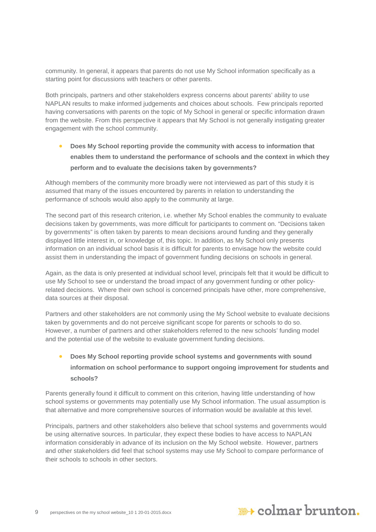community. In general, it appears that parents do not use My School information specifically as a starting point for discussions with teachers or other parents.

Both principals, partners and other stakeholders express concerns about parents' ability to use NAPLAN results to make informed judgements and choices about schools. Few principals reported having conversations with parents on the topic of My School in general or specific information drawn from the website. From this perspective it appears that My School is not generally instigating greater engagement with the school community.

• **Does My School reporting provide the community with access to information that enables them to understand the performance of schools and the context in which they perform and to evaluate the decisions taken by governments?**

Although members of the community more broadly were not interviewed as part of this study it is assumed that many of the issues encountered by parents in relation to understanding the performance of schools would also apply to the community at large.

The second part of this research criterion, i.e. whether My School enables the community to evaluate decisions taken by governments, was more difficult for participants to comment on. "Decisions taken by governments" is often taken by parents to mean decisions around funding and they generally displayed little interest in, or knowledge of, this topic. In addition, as My School only presents information on an individual school basis it is difficult for parents to envisage how the website could assist them in understanding the impact of government funding decisions on schools in general.

Again, as the data is only presented at individual school level, principals felt that it would be difficult to use My School to see or understand the broad impact of any government funding or other policyrelated decisions. Where their own school is concerned principals have other, more comprehensive, data sources at their disposal.

Partners and other stakeholders are not commonly using the My School website to evaluate decisions taken by governments and do not perceive significant scope for parents or schools to do so. However, a number of partners and other stakeholders referred to the new schools' funding model and the potential use of the website to evaluate government funding decisions.

### • **Does My School reporting provide school systems and governments with sound information on school performance to support ongoing improvement for students and schools?**

Parents generally found it difficult to comment on this criterion, having little understanding of how school systems or governments may potentially use My School information. The usual assumption is that alternative and more comprehensive sources of information would be available at this level.

Principals, partners and other stakeholders also believe that school systems and governments would be using alternative sources. In particular, they expect these bodies to have access to NAPLAN information considerably in advance of its inclusion on the My School website. However, partners and other stakeholders did feel that school systems may use My School to compare performance of their schools to schools in other sectors.

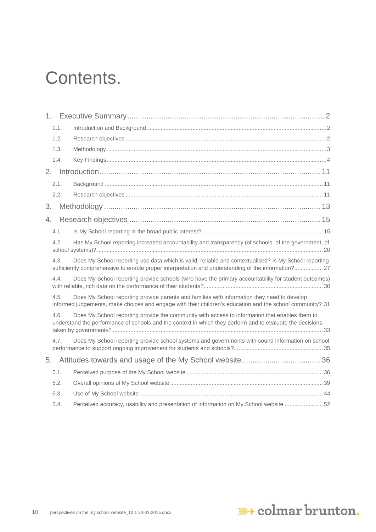## Contents.

| 1.1. |                                                                                                                                                                                                             |
|------|-------------------------------------------------------------------------------------------------------------------------------------------------------------------------------------------------------------|
| 1.2. |                                                                                                                                                                                                             |
| 1.3. |                                                                                                                                                                                                             |
| 1.4. |                                                                                                                                                                                                             |
|      |                                                                                                                                                                                                             |
| 2.1. |                                                                                                                                                                                                             |
| 2.2. |                                                                                                                                                                                                             |
| 3.   |                                                                                                                                                                                                             |
| 4.   |                                                                                                                                                                                                             |
| 4.1. |                                                                                                                                                                                                             |
| 4.2. | Has My School reporting increased accountability and transparency (of schools, of the government, of                                                                                                        |
| 4.3. | Does My School reporting use data which is valid, reliable and contextualised? Is My School reporting<br>sufficiently comprehensive to enable proper interpretation and understanding of the information?27 |
| 4.4. | Does My School reporting provide schools (who have the primary accountability for student outcomes)                                                                                                         |
| 4.5. | Does My School reporting provide parents and families with information they need to develop<br>informed judgements, make choices and engage with their children's education and the school community? 31    |
| 4.6. | Does My School reporting provide the community with access to information that enables them to<br>understand the performance of schools and the context in which they perform and to evaluate the decisions |
| 4.7. | Does My School reporting provide school systems and governments with sound information on school                                                                                                            |
|      |                                                                                                                                                                                                             |
| 5.1. |                                                                                                                                                                                                             |
| 5.2. |                                                                                                                                                                                                             |
| 5.3. |                                                                                                                                                                                                             |
| 5.4. | Perceived accuracy, usability and presentation of information on My School website  52                                                                                                                      |

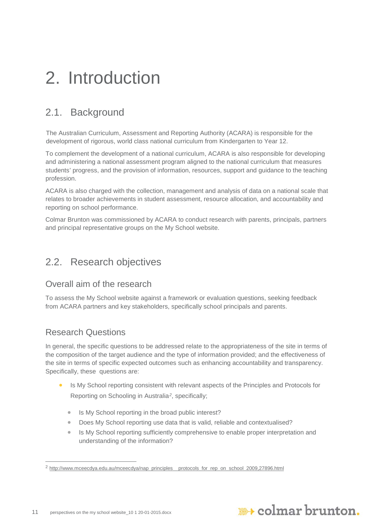## <span id="page-10-0"></span>2. Introduction

## <span id="page-10-1"></span>2.1. Background

The Australian Curriculum, Assessment and Reporting Authority (ACARA) is responsible for the development of rigorous, world class national curriculum from Kindergarten to Year 12.

To complement the development of a national curriculum, ACARA is also responsible for developing and administering a national assessment program aligned to the national curriculum that measures students' progress, and the provision of information, resources, support and guidance to the teaching profession.

ACARA is also charged with the collection, management and analysis of data on a national scale that relates to broader achievements in student assessment, resource allocation, and accountability and reporting on school performance.

Colmar Brunton was commissioned by ACARA to conduct research with parents, principals, partners and principal representative groups on the My School website.

## <span id="page-10-2"></span>2.2. Research objectives

### Overall aim of the research

To assess the My School website against a framework or evaluation questions, seeking feedback from ACARA partners and key stakeholders, specifically school principals and parents.

## Research Questions

-

In general, the specific questions to be addressed relate to the appropriateness of the site in terms of the composition of the target audience and the type of information provided; and the effectiveness of the site in terms of specific expected outcomes such as enhancing accountability and transparency. Specifically, these questions are:

- Is My School reporting consistent with relevant aspects of the Principles and Protocols for Reporting on Schooling in Australia*[2](#page-10-3)*, specifically;
	- Is My School reporting in the broad public interest?
	- Does My School reporting use data that is valid, reliable and contextualised?
	- Is My School reporting sufficiently comprehensive to enable proper interpretation and understanding of the information?



<span id="page-10-3"></span><sup>&</sup>lt;sup>2</sup> http://www.mceecdya.edu.au/mceecdya/nap\_principles\_\_protocols\_for\_rep\_on\_school\_2009.27896.html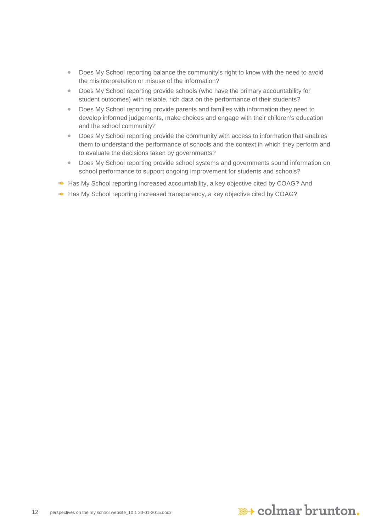- Does My School reporting balance the community's right to know with the need to avoid the misinterpretation or misuse of the information?
- Does My School reporting provide schools (who have the primary accountability for student outcomes) with reliable, rich data on the performance of their students?
- Does My School reporting provide parents and families with information they need to develop informed judgements, make choices and engage with their children's education and the school community?
- Does My School reporting provide the community with access to information that enables them to understand the performance of schools and the context in which they perform and to evaluate the decisions taken by governments?
- Does My School reporting provide school systems and governments sound information on school performance to support ongoing improvement for students and schools?
- Has My School reporting increased accountability, a key objective cited by COAG? And
- Has My School reporting increased transparency, a key objective cited by COAG?

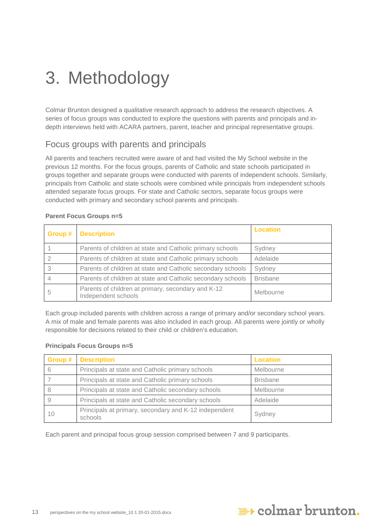## <span id="page-12-0"></span>3. Methodology

Colmar Brunton designed a qualitative research approach to address the research objectives. A series of focus groups was conducted to explore the questions with parents and principals and indepth interviews held with ACARA partners, parent, teacher and principal representative groups.

## Focus groups with parents and principals

All parents and teachers recruited were aware of and had visited the My School website in the previous 12 months. For the focus groups, parents of Catholic and state schools participated in groups together and separate groups were conducted with parents of independent schools. Similarly, principals from Catholic and state schools were combined while principals from independent schools attended separate focus groups. For state and Catholic sectors, separate focus groups were conducted with primary and secondary school parents and principals.

| Group # | <b>Description</b>                                                        | <b>Location</b> |
|---------|---------------------------------------------------------------------------|-----------------|
|         | Parents of children at state and Catholic primary schools                 | Sydney          |
|         | Parents of children at state and Catholic primary schools                 | Adelaide        |
| 3       | Parents of children at state and Catholic secondary schools               | Sydney          |
|         | Parents of children at state and Catholic secondary schools               | <b>Brisbane</b> |
| 5       | Parents of children at primary, secondary and K-12<br>Independent schools | Melbourne       |

#### **Parent Focus Groups n=5**

Each group included parents with children across a range of primary and/or secondary school years. A mix of male and female parents was also included in each group. All parents were jointly or wholly responsible for decisions related to their child or children's education.

#### **Principals Focus Groups n=5**

|    | <b>Group # Description</b>                                       | <b>Location</b> |
|----|------------------------------------------------------------------|-----------------|
|    | Principals at state and Catholic primary schools                 | Melbourne       |
|    | Principals at state and Catholic primary schools                 | <b>Brisbane</b> |
|    | Principals at state and Catholic secondary schools               | Melbourne       |
|    | Principals at state and Catholic secondary schools               | Adelaide        |
| 10 | Principals at primary, secondary and K-12 independent<br>schools | Sydney          |

Each parent and principal focus group session comprised between 7 and 9 participants.

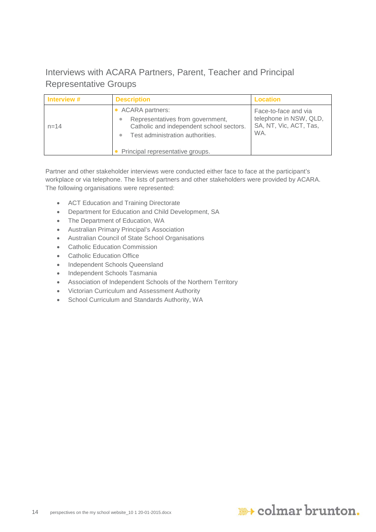Interviews with ACARA Partners, Parent, Teacher and Principal Representative Groups

| Interview # | <b>Description</b>                                                                                                                                                                  | <b>Location</b>                                                                 |
|-------------|-------------------------------------------------------------------------------------------------------------------------------------------------------------------------------------|---------------------------------------------------------------------------------|
| $n = 14$    | <b>ACARA partners:</b><br>Representatives from government,<br>۰<br>Catholic and independent school sectors.<br>Test administration authorities.<br>Principal representative groups. | Face-to-face and via<br>telephone in NSW, QLD,<br>SA, NT, Vic, ACT, Tas,<br>WA. |

Partner and other stakeholder interviews were conducted either face to face at the participant's workplace or via telephone. The lists of partners and other stakeholders were provided by ACARA. The following organisations were represented:

- ACT Education and Training Directorate
- Department for Education and Child Development, SA
- The Department of Education, WA
- Australian Primary Principal's Association
- Australian Council of State School Organisations
- Catholic Education Commission
- Catholic Education Office
- Independent Schools Queensland
- Independent Schools Tasmania
- Association of Independent Schools of the Northern Territory
- Victorian Curriculum and Assessment Authority
- School Curriculum and Standards Authority, WA

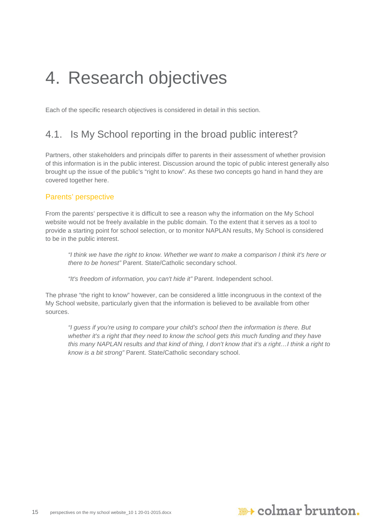## <span id="page-14-0"></span>4. Research objectives

Each of the specific research objectives is considered in detail in this section.

## <span id="page-14-1"></span>4.1. Is My School reporting in the broad public interest?

Partners, other stakeholders and principals differ to parents in their assessment of whether provision of this information is in the public interest. Discussion around the topic of public interest generally also brought up the issue of the public's "right to know". As these two concepts go hand in hand they are covered together here.

#### Parents' perspective

From the parents' perspective it is difficult to see a reason why the information on the My School website would not be freely available in the public domain. To the extent that it serves as a tool to provide a starting point for school selection, or to monitor NAPLAN results, My School is considered to be in the public interest.

*"I think we have the right to know. Whether we want to make a comparison I think it's here or there to be honest"* Parent. State/Catholic secondary school.

*"It's freedom of information, you can't hide it"* Parent. Independent school.

The phrase "the right to know" however, can be considered a little incongruous in the context of the My School website, particularly given that the information is believed to be available from other sources.

*"I guess if you're using to compare your child's school then the information is there. But*  whether it's a right that they need to know the school gets this much funding and they have *this many NAPLAN results and that kind of thing, I don't know that it's a right…I think a right to know is a bit strong"* Parent. State/Catholic secondary school.

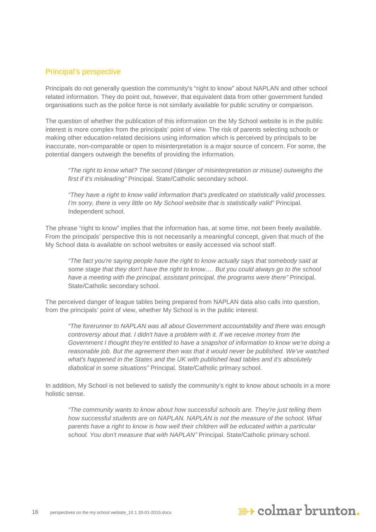#### Principal's perspective

Principals do not generally question the community's "right to know" about NAPLAN and other school related information. They do point out, however, that equivalent data from other government funded organisations such as the police force is not similarly available for public scrutiny or comparison.

The question of whether the publication of this information on the My School website is in the public interest is more complex from the principals' point of view. The risk of parents selecting schools or making other education-related decisions using information which is perceived by principals to be inaccurate, non-comparable or open to misinterpretation is a major source of concern. For some, the potential dangers outweigh the benefits of providing the information.

*"The right to know what? The second (danger of misinterpretation or misuse) outweighs the first if it's misleading"* Principal. State/Catholic secondary school.

*"They have a right to know valid information that's predicated on statistically valid processes. I'm sorry, there is very little on My School website that is statistically valid"* Principal. Independent school.

The phrase "right to know" implies that the information has, at some time, not been freely available. From the principals' perspective this is not necessarily a meaningful concept, given that much of the My School data is available on school websites or easily accessed via school staff.

*"The fact you're saying people have the right to know actually says that somebody said at some stage that they don't have the right to know…. But you could always go to the school have a meeting with the principal, assistant principal, the programs were there" Principal.* State/Catholic secondary school.

The perceived danger of league tables being prepared from NAPLAN data also calls into question, from the principals' point of view, whether My School is in the public interest.

*"The forerunner to NAPLAN was all about Government accountability and there was enough controversy about that. I didn't have a problem with it. If we receive money from the Government I thought they're entitled to have a snapshot of information to know we're doing a reasonable job. But the agreement then was that it would never be published. We've watched what's happened in the States and the UK with published lead tables and it's absolutely diabolical in some situations"* Principal. State/Catholic primary school.

In addition, My School is not believed to satisfy the community's right to know about schools in a more holistic sense.

*"The community wants to know about how successful schools are. They're just telling them how successful students are on NAPLAN. NAPLAN is not the measure of the school. What parents have a right to know is how well their children will be educated within a particular school. You don't measure that with NAPLAN"* Principal. State/Catholic primary school.

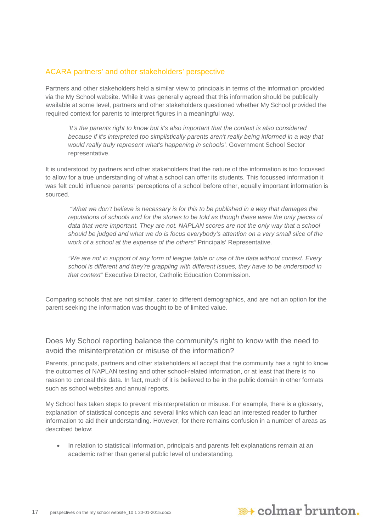#### ACARA partners' and other stakeholders' perspective

Partners and other stakeholders held a similar view to principals in terms of the information provided via the My School website. While it was generally agreed that this information should be publically available at some level, partners and other stakeholders questioned whether My School provided the required context for parents to interpret figures in a meaningful way.

*'It's the parents right to know but it's also important that the context is also considered because if it's interpreted too simplistically parents aren't really being informed in a way that would really truly represent what's happening in schools'.* Government School Sector representative.

It is understood by partners and other stakeholders that the nature of the information is too focussed to allow for a true understanding of what a school can offer its students. This focussed information it was felt could influence parents' perceptions of a school before other, equally important information is sourced.

*"What we don't believe is necessary is for this to be published in a way that damages the reputations of schools and for the stories to be told as though these were the only pieces of*  data that were important. They are not. NAPLAN scores are not the only way that a school *should be judged and what we do is focus everybody's attention on a very small slice of the work of a school at the expense of the others"* Principals' Representative*.*

*"We are not in support of any form of league table or use of the data without context. Every school is different and they're grappling with different issues, they have to be understood in that context"* Executive Director, Catholic Education Commission.

Comparing schools that are not similar, cater to different demographics, and are not an option for the parent seeking the information was thought to be of limited value.

Does My School reporting balance the community's right to know with the need to avoid the misinterpretation or misuse of the information?

Parents, principals, partners and other stakeholders all accept that the community has a right to know the outcomes of NAPLAN testing and other school-related information, or at least that there is no reason to conceal this data. In fact, much of it is believed to be in the public domain in other formats such as school websites and annual reports.

My School has taken steps to prevent misinterpretation or misuse. For example, there is a glossary, explanation of statistical concepts and several links which can lead an interested reader to further information to aid their understanding. However, for there remains confusion in a number of areas as described below:

• In relation to statistical information, principals and parents felt explanations remain at an academic rather than general public level of understanding.

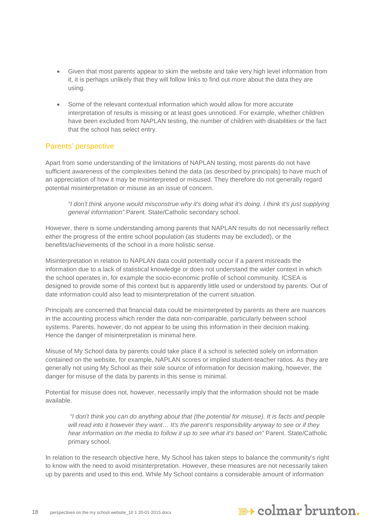- Given that most parents appear to skim the website and take very high level information from it, it is perhaps unlikely that they will follow links to find out more about the data they are using.
- Some of the relevant contextual information which would allow for more accurate interpretation of results is missing or at least goes unnoticed. For example, whether children have been excluded from NAPLAN testing, the number of children with disabilities or the fact that the school has select entry.

#### Parents' perspective

Apart from some understanding of the limitations of NAPLAN testing, most parents do not have sufficient awareness of the complexities behind the data (as described by principals) to have much of an appreciation of how it may be misinterpreted or misused. They therefore do not generally regard potential misinterpretation or misuse as an issue of concern.

*"I don't think anyone would misconstrue why it's doing what it's doing. I think it's just supplying general information"* Parent. State/Catholic secondary school.

However, there is some understanding among parents that NAPLAN results do not necessarily reflect either the progress of the entire school population (as students may be excluded), or the benefits/achievements of the school in a more holistic sense.

Misinterpretation in relation to NAPLAN data could potentially occur if a parent misreads the information due to a lack of statistical knowledge or does not understand the wider context in which the school operates in, for example the socio-economic profile of school community. ICSEA is designed to provide some of this context but is apparently little used or understood by parents. Out of date information could also lead to misinterpretation of the current situation.

Principals are concerned that financial data could be misinterpreted by parents as there are nuances in the accounting process which render the data non-comparable, particularly between school systems. Parents, however, do not appear to be using this information in their decision making. Hence the danger of misinterpretation is minimal here.

Misuse of My School data by parents could take place if a school is selected solely on information contained on the website, for example, NAPLAN scores or implied student-teacher ratios. As they are generally not using My School as their sole source of information for decision making, however, the danger for misuse of the data by parents in this sense is minimal.

Potential for misuse does not, however, necessarily imply that the information should not be made available.

*"I don't think you can do anything about that (the potential for misuse). It is facts and people will read into it however they want… It's the parent's responsibility anyway to see or if they hear information on the media to follow it up to see what it's based on"* Parent. State/Catholic primary school.

In relation to the research objective here, My School has taken steps to balance the community's right to know with the need to avoid misinterpretation. However, these measures are not necessarily taken up by parents and used to this end. While My School contains a considerable amount of information

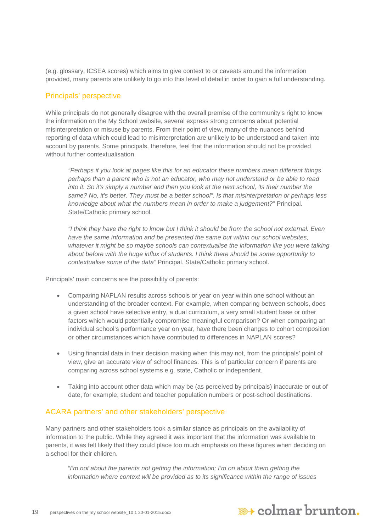(e.g. glossary, ICSEA scores) which aims to give context to or caveats around the information provided, many parents are unlikely to go into this level of detail in order to gain a full understanding.

#### Principals' perspective

While principals do not generally disagree with the overall premise of the community's right to know the information on the My School website, several express strong concerns about potential misinterpretation or misuse by parents. From their point of view, many of the nuances behind reporting of data which could lead to misinterpretation are unlikely to be understood and taken into account by parents. Some principals, therefore, feel that the information should not be provided without further contextualisation.

*"Perhaps if you look at pages like this for an educator these numbers mean different things perhaps than a parent who is not an educator, who may not understand or be able to read into it. So it's simply a number and then you look at the next school, 'Is their number the same? No, it's better. They must be a better school". Is that misinterpretation or perhaps less knowledge about what the numbers mean in order to make a judgement?"* Principal. State/Catholic primary school.

*"I think they have the right to know but I think it should be from the school not external. Even have the same information and be presented the same but within our school websites,*  whatever it might be so maybe schools can contextualise the information like you were talking *about before with the huge influx of students. I think there should be some opportunity to contextualise some of the data"* Principal. State/Catholic primary school.

Principals' main concerns are the possibility of parents:

- Comparing NAPLAN results across schools or year on year within one school without an understanding of the broader context. For example, when comparing between schools, does a given school have selective entry, a dual curriculum, a very small student base or other factors which would potentially compromise meaningful comparison? Or when comparing an individual school's performance year on year, have there been changes to cohort composition or other circumstances which have contributed to differences in NAPLAN scores?
- Using financial data in their decision making when this may not, from the principals' point of view, give an accurate view of school finances. This is of particular concern if parents are comparing across school systems e.g. state, Catholic or independent.
- Taking into account other data which may be (as perceived by principals) inaccurate or out of date, for example, student and teacher population numbers or post-school destinations.

#### ACARA partners' and other stakeholders' perspective

Many partners and other stakeholders took a similar stance as principals on the availability of information to the public. While they agreed it was important that the information was available to parents, it was felt likely that they could place too much emphasis on these figures when deciding on a school for their children.

*"I'm not about the parents not getting the information; I'm on about them getting the information where context will be provided as to its significance within the range of issues* 

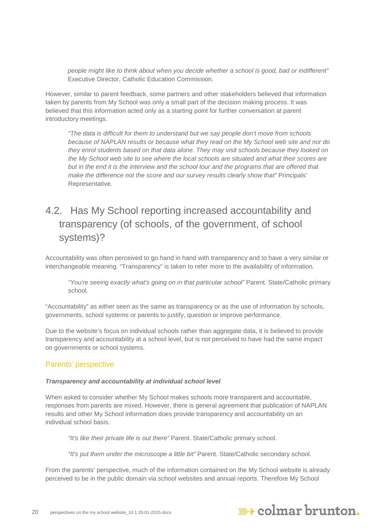*people might like to think about when you decide whether a school is good, bad or indifferent"*  Executive Director, Catholic Education Commission*.*

However, similar to parent feedback, some partners and other stakeholders believed that information taken by parents from My School was only a small part of the decision making process. It was believed that this information acted only as a starting point for further conversation at parent introductory meetings.

*"The data is difficult for them to understand but we say people don't move from schools because of NAPLAN results or because what they read on the My School web site and nor do they enrol students based on that data alone. They may visit schools because they looked on the My School web site to see where the local schools are situated and what their scores are but in the end it is the interview and the school tour and the programs that are offered that make the difference not the score and our survey results clearly show that"* Principals' Representative*.*

## <span id="page-19-0"></span>4.2. Has My School reporting increased accountability and transparency (of schools, of the government, of school systems)?

Accountability was often perceived to go hand in hand with transparency and to have a very similar or interchangeable meaning. "Transparency" is taken to refer more to the availability of information.

*"You're seeing exactly what's going on in that particular school"* Parent. State/Catholic primary school.

"Accountability" as either seen as the same as transparency or as the use of information by schools, governments, school systems or parents to justify, question or improve performance.

Due to the website's focus on individual schools rather than aggregate data, it is believed to provide transparency and accountability at a school level, but is not perceived to have had the same impact on governments or school systems.

#### Parents' perspective

#### *Transparency and accountability at individual school level*

When asked to consider whether My School makes schools more transparent and accountable, responses from parents are mixed. However, there is general agreement that publication of NAPLAN results and other My School information does provide transparency and accountability on an individual school basis.

*"It's like their private life is out there"* Parent. State/Catholic primary school.

*"It's put them under the microscope a little bit"* Parent. State/Catholic secondary school.

From the parents' perspective, much of the information contained on the My School website is already perceived to be in the public domain via school websites and annual reports. Therefore My School

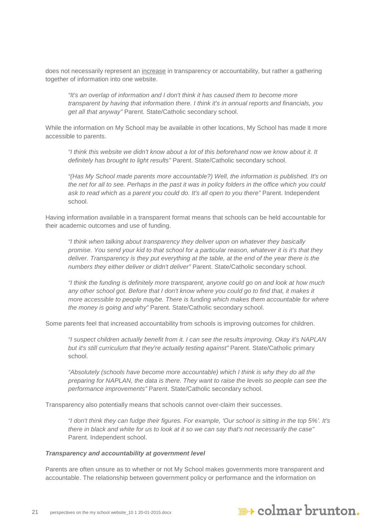does not necessarily represent an increase in transparency or accountability, but rather a gathering together of information into one website.

*"It's an overlap of information and I don't think it has caused them to become more transparent by having that information there. I think it's in annual reports and financials, you get all that anyway"* Parent. State/Catholic secondary school.

While the information on My School may be available in other locations, My School has made it more accessible to parents.

*"I think this website we didn't know about a lot of this beforehand now we know about it. It definitely has brought to light results"* Parent. State/Catholic secondary school.

*"(Has My School made parents more accountable?) Well, the information is published. It's on the net for all to see. Perhaps in the past it was in policy folders in the office which you could ask to read which as a parent you could do. It's all open to you there"* Parent. Independent school.

Having information available in a transparent format means that schools can be held accountable for their academic outcomes and use of funding.

*"I think when talking about transparency they deliver upon on whatever they basically promise. You send your kid to that school for a particular reason, whatever it is it's that they deliver. Transparency is they put everything at the table, at the end of the year there is the numbers they either deliver or didn't deliver"* Parent. State/Catholic secondary school.

*"I think the funding is definitely more transparent, anyone could go on and look at how much any other school got. Before that I don't know where you could go to find that, it makes it more accessible to people maybe. There is funding which makes them accountable for where the money is going and why"* Parent. State/Catholic secondary school.

Some parents feel that increased accountability from schools is improving outcomes for children.

*"I suspect children actually benefit from it. I can see the results improving. Okay it's NAPLAN but it's still curriculum that they're actually testing against"* Parent. State/Catholic primary school.

*"Absolutely (schools have become more accountable) which I think is why they do all the preparing for NAPLAN, the data is there. They want to raise the levels so people can see the performance improvements"* Parent. State/Catholic secondary school.

Transparency also potentially means that schools cannot over-claim their successes.

*"I don't think they can fudge their figures. For example, 'Our school is sitting in the top 5%'. It's there in black and white for us to look at it so we can say that's not necessarily the case"* Parent. Independent school.

#### *Transparency and accountability at government level*

Parents are often unsure as to whether or not My School makes governments more transparent and accountable. The relationship between government policy or performance and the information on

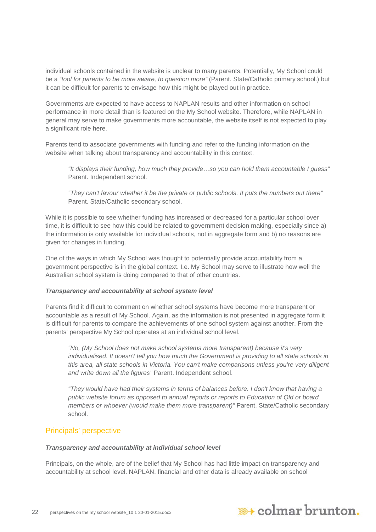individual schools contained in the website is unclear to many parents. Potentially, My School could be a *"tool for parents to be more aware, to question more"* (Parent. State/Catholic primary school.) but it can be difficult for parents to envisage how this might be played out in practice.

Governments are expected to have access to NAPLAN results and other information on school performance in more detail than is featured on the My School website. Therefore, while NAPLAN in general may serve to make governments more accountable, the website itself is not expected to play a significant role here.

Parents tend to associate governments with funding and refer to the funding information on the website when talking about transparency and accountability in this context.

*"It displays their funding, how much they provide…so you can hold them accountable I guess"*  Parent. Independent school.

*"They can't favour whether it be the private or public schools. It puts the numbers out there"* Parent. State/Catholic secondary school.

While it is possible to see whether funding has increased or decreased for a particular school over time, it is difficult to see how this could be related to government decision making, especially since a) the information is only available for individual schools, not in aggregate form and b) no reasons are given for changes in funding.

One of the ways in which My School was thought to potentially provide accountability from a government perspective is in the global context. I.e. My School may serve to illustrate how well the Australian school system is doing compared to that of other countries.

#### *Transparency and accountability at school system level*

Parents find it difficult to comment on whether school systems have become more transparent or accountable as a result of My School. Again, as the information is not presented in aggregate form it is difficult for parents to compare the achievements of one school system against another. From the parents' perspective My School operates at an individual school level.

*"No, (My School does not make school systems more transparent) because it's very individualised. It doesn't tell you how much the Government is providing to all state schools in this area, all state schools in Victoria. You can't make comparisons unless you're very diligent and write down all the figures"* Parent. Independent school.

*"They would have had their systems in terms of balances before. I don't know that having a public website forum as opposed to annual reports or reports to Education of Qld or board members or whoever (would make them more transparent)"* Parent. State/Catholic secondary school.

#### Principals' perspective

#### *Transparency and accountability at individual school level*

Principals, on the whole, are of the belief that My School has had little impact on transparency and accountability at school level. NAPLAN, financial and other data is already available on school

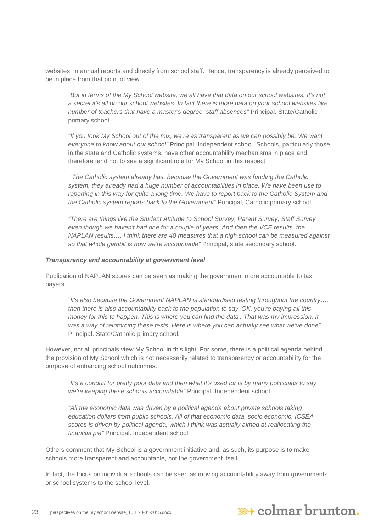websites, in annual reports and directly from school staff. Hence, transparency is already perceived to be in place from that point of view.

*"But in terms of the My School website, we all have that data on our school websites. It's not a secret it's all on our school websites. In fact there is more data on your school websites like number of teachers that have a master's degree, staff absences"* Principal. State/Catholic primary school.

*"If you took My School out of the mix, we're as transparent as we can possibly be. We want everyone to know about our school"* Principal. Independent school. Schools, particularly those in the state and Catholic systems, have other accountability mechanisms in place and therefore tend not to see a significant role for My School in this respect.

*"The Catholic system already has, because the Government was funding the Catholic system, they already had a huge number of accountabilities in place. We have been use to reporting in this way for quite a long time. We have to report back to the Catholic System and the Catholic system reports back to the Government*" Principal, Catholic primary school.

*"There are things like the Student Attitude to School Survey, Parent Survey, Staff Survey even though we haven't had one for a couple of years. And then the VCE results, the NAPLAN results…. I think there are 40 measures that a high school can be measured against so that whole gambit is how we're accountable"* Principal, state secondary school.

#### *Transparency and accountability at government level*

Publication of NAPLAN scores can be seen as making the government more accountable to tax payers.

*"It's also because the Government NAPLAN is standardised testing throughout the country…. then there is also accountability back to the population to say 'OK, you're paying all this money for this to happen. This is where you can find the data'. That was my impression. It was a way of reinforcing these tests. Here is where you can actually see what we've done"* Principal. State/Catholic primary school.

However, not all principals view My School in this light. For some, there is a political agenda behind the provision of My School which is not necessarily related to transparency or accountability for the purpose of enhancing school outcomes.

*"It's a conduit for pretty poor data and then what it's used for is by many politicians to say we're keeping these schools accountable"* Principal. Independent school.

*"All the economic data was driven by a political agenda about private schools taking education dollars from public schools. All of that economic data, socio economic, ICSEA scores is driven by political agenda, which I think was actually aimed at reallocating the financial pie"* Principal. Independent school.

Others comment that My School is a government initiative and, as such, its purpose is to make schools more transparent and accountable, not the government itself.

In fact, the focus on individual schools can be seen as moving accountability away from governments or school systems to the school level.

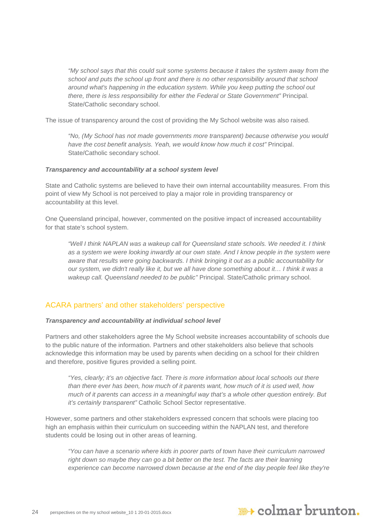*"My school says that this could suit some systems because it takes the system away from the school and puts the school up front and there is no other responsibility around that school around what's happening in the education system. While you keep putting the school out there, there is less responsibility for either the Federal or State Government"* Principal. State/Catholic secondary school.

The issue of transparency around the cost of providing the My School website was also raised.

*"No, (My School has not made governments more transparent) because otherwise you would have the cost benefit analysis. Yeah, we would know how much it cost"* Principal. State/Catholic secondary school.

#### *Transparency and accountability at a school system level*

State and Catholic systems are believed to have their own internal accountability measures. From this point of view My School is not perceived to play a major role in providing transparency or accountability at this level.

One Queensland principal, however, commented on the positive impact of increased accountability for that state's school system.

*"Well I think NAPLAN was a wakeup call for Queensland state schools. We needed it. I think*  as a system we were looking inwardly at our own state. And I know people in the system were *aware that results were going backwards. I think bringing it out as a public accountability for our system, we didn't really like it, but we all have done something about it… I think it was a wakeup call. Queensland needed to be public"* Principal. State/Catholic primary school.

#### ACARA partners' and other stakeholders' perspective

#### *Transparency and accountability at individual school level*

Partners and other stakeholders agree the My School website increases accountability of schools due to the public nature of the information. Partners and other stakeholders also believe that schools acknowledge this information may be used by parents when deciding on a school for their children and therefore, positive figures provided a selling point.

*"Yes, clearly; it's an objective fact. There is more information about local schools out there than there ever has been, how much of it parents want, how much of it is used well, how much of it parents can access in a meaningful way that's a whole other question entirely. But it's certainly transparent"* Catholic School Sector representative.

However, some partners and other stakeholders expressed concern that schools were placing too high an emphasis within their curriculum on succeeding within the NAPLAN test, and therefore students could be losing out in other areas of learning.

*"You can have a scenario where kids in poorer parts of town have their curriculum narrowed right down so maybe they can go a bit better on the test. The facts are their learning experience can become narrowed down because at the end of the day people feel like they're* 

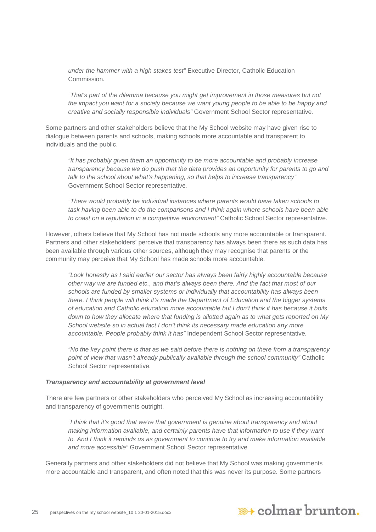*under the hammer with a high stakes test"* Executive Director, Catholic Education Commission*.*

*"That's part of the dilemma because you might get improvement in those measures but not the impact you want for a society because we want young people to be able to be happy and creative and socially responsible individuals"* Government School Sector representative*.*

Some partners and other stakeholders believe that the My School website may have given rise to dialogue between parents and schools, making schools more accountable and transparent to individuals and the public.

*"It has probably given them an opportunity to be more accountable and probably increase transparency because we do push that the data provides an opportunity for parents to go and talk to the school about what's happening, so that helps to increase transparency"*  Government School Sector representative*.*

*"There would probably be individual instances where parents would have taken schools to task having been able to do the comparisons and I think again where schools have been able to coast on a reputation in a competitive environment"* Catholic School Sector representative*.*

However, others believe that My School has not made schools any more accountable or transparent. Partners and other stakeholders' perceive that transparency has always been there as such data has been available through various other sources, although they may recognise that parents or the community may perceive that My School has made schools more accountable.

*"Look honestly as I said earlier our sector has always been fairly highly accountable because other way we are funded etc., and that's always been there. And the fact that most of our schools are funded by smaller systems or individually that accountability has always been there. I think people will think it's made the Department of Education and the bigger systems of education and Catholic education more accountable but I don't think it has because it boils down to how they allocate where that funding is allotted again as to what gets reported on My School website so in actual fact I don't think its necessary made education any more accountable. People probably think it has"* Independent School Sector representative*.*

*"No the key point there is that as we said before there is nothing on there from a transparency point of view that wasn't already publically available through the school community"* Catholic School Sector representative.

#### *Transparency and accountability at government level*

There are few partners or other stakeholders who perceived My School as increasing accountability and transparency of governments outright.

*"I think that it's good that we're that government is genuine about transparency and about making information available, and certainly parents have that information to use if they want to. And I think it reminds us as government to continue to try and make information available and more accessible"* Government School Sector representative*.*

Generally partners and other stakeholders did not believe that My School was making governments more accountable and transparent, and often noted that this was never its purpose. Some partners

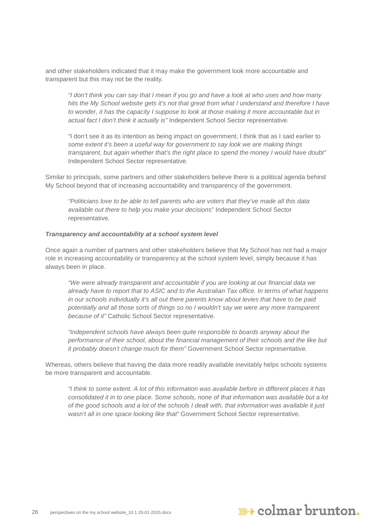and other stakeholders indicated that it may make the government look more accountable and transparent but this may not be the reality.

*"I don't think you can say that I mean if you go and have a look at who uses and how many hits the My School website gets it's not that great from what I understand and therefore I have to wonder, it has the capacity I suppose to look at those making it more accountable but in actual fact I don't think it actually is"* Independent School Sector representative*.*

"I don't see it as its intention as being impact on government, I think that as I said earlier to *some extent it's been a useful way for government to say look we are making things transparent, but again whether that's the right place to spend the money I would have doubt"*  Independent School Sector representative*.*

Similar to principals, some partners and other stakeholders believe there is a political agenda behind My School beyond that of increasing accountability and transparency of the government.

*"Politicians love to be able to tell parents who are voters that they've made all this data available out there to help you make your decisions*" Independent School Sector representative*.*

#### *Transparency and accountability at a school system level*

Once again a number of partners and other stakeholders believe that My School has not had a major role in increasing accountability or transparency at the school system level, simply because it has always been in place.

*"We were already transparent and accountable if you are looking at our financial data we already have to report that to ASIC and to the Australian Tax office. In terms of what happens in our schools individually it's all out there parents know about levies that have to be paid potentially and all those sorts of things so no I wouldn't say we were any more transparent because of it"* Catholic School Sector representative*.*

*"Independent schools have always been quite responsible to boards anyway about the performance of their school, about the financial management of their schools and the like but it probably doesn't change much for them"* Government School Sector representative*.*

Whereas, others believe that having the data more readily available inevitably helps schools systems be more transparent and accountable.

*"I think to some extent. A lot of this information was available before in different places it has consolidated it in to one place. Some schools, none of that information was available but a lot of the good schools and a lot of the schools I dealt with, that information was available it just wasn't all in one space looking like that"* Government School Sector representative*.*

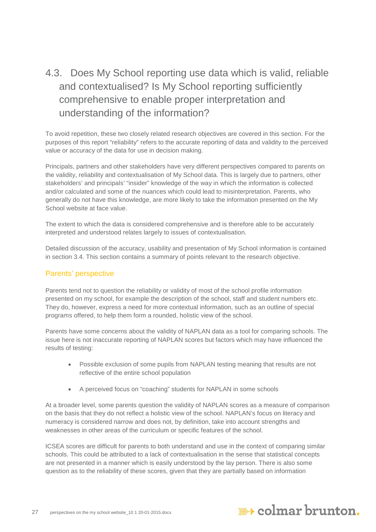## <span id="page-26-0"></span>4.3. Does My School reporting use data which is valid, reliable and contextualised? Is My School reporting sufficiently comprehensive to enable proper interpretation and understanding of the information?

To avoid repetition, these two closely related research objectives are covered in this section. For the purposes of this report "reliability" refers to the accurate reporting of data and validity to the perceived value or accuracy of the data for use in decision making.

Principals, partners and other stakeholders have very different perspectives compared to parents on the validity, reliability and contextualisation of My School data. This is largely due to partners, other stakeholders' and principals' "insider" knowledge of the way in which the information is collected and/or calculated and some of the nuances which could lead to misinterpretation. Parents, who generally do not have this knowledge, are more likely to take the information presented on the My School website at face value.

The extent to which the data is considered comprehensive and is therefore able to be accurately interpreted and understood relates largely to issues of contextualisation.

Detailed discussion of the accuracy, usability and presentation of My School information is contained in section 3.4. This section contains a summary of points relevant to the research objective.

#### Parents' perspective

Parents tend not to question the reliability or validity of most of the school profile information presented on my school, for example the description of the school, staff and student numbers etc. They do, however, express a need for more contextual information, such as an outline of special programs offered, to help them form a rounded, holistic view of the school.

Parents have some concerns about the validity of NAPLAN data as a tool for comparing schools. The issue here is not inaccurate reporting of NAPLAN scores but factors which may have influenced the results of testing:

- Possible exclusion of some pupils from NAPLAN testing meaning that results are not reflective of the entire school population
- A perceived focus on "coaching" students for NAPLAN in some schools

At a broader level, some parents question the validity of NAPLAN scores as a measure of comparison on the basis that they do not reflect a holistic view of the school. NAPLAN's focus on literacy and numeracy is considered narrow and does not, by definition, take into account strengths and weaknesses in other areas of the curriculum or specific features of the school.

ICSEA scores are difficult for parents to both understand and use in the context of comparing similar schools. This could be attributed to a lack of contextualisation in the sense that statistical concepts are not presented in a manner which is easily understood by the lay person. There is also some question as to the reliability of these scores, given that they are partially based on information

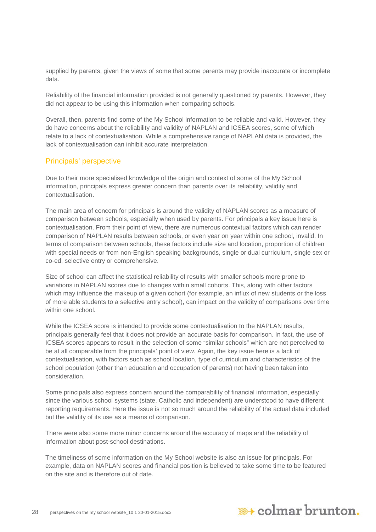supplied by parents, given the views of some that some parents may provide inaccurate or incomplete data.

Reliability of the financial information provided is not generally questioned by parents. However, they did not appear to be using this information when comparing schools.

Overall, then, parents find some of the My School information to be reliable and valid. However, they do have concerns about the reliability and validity of NAPLAN and ICSEA scores, some of which relate to a lack of contextualisation. While a comprehensive range of NAPLAN data is provided, the lack of contextualisation can inhibit accurate interpretation.

#### Principals' perspective

Due to their more specialised knowledge of the origin and context of some of the My School information, principals express greater concern than parents over its reliability, validity and contextualisation.

The main area of concern for principals is around the validity of NAPLAN scores as a measure of comparison between schools, especially when used by parents. For principals a key issue here is contextualisation. From their point of view, there are numerous contextual factors which can render comparison of NAPLAN results between schools, or even year on year within one school, invalid. In terms of comparison between schools, these factors include size and location, proportion of children with special needs or from non-English speaking backgrounds, single or dual curriculum, single sex or co-ed, selective entry or comprehensive.

Size of school can affect the statistical reliability of results with smaller schools more prone to variations in NAPLAN scores due to changes within small cohorts. This, along with other factors which may influence the makeup of a given cohort (for example, an influx of new students or the loss of more able students to a selective entry school), can impact on the validity of comparisons over time within one school

While the ICSEA score is intended to provide some contextualisation to the NAPLAN results, principals generally feel that it does not provide an accurate basis for comparison. In fact, the use of ICSEA scores appears to result in the selection of some "similar schools" which are not perceived to be at all comparable from the principals' point of view. Again, the key issue here is a lack of contextualisation, with factors such as school location, type of curriculum and characteristics of the school population (other than education and occupation of parents) not having been taken into consideration.

Some principals also express concern around the comparability of financial information, especially since the various school systems (state, Catholic and independent) are understood to have different reporting requirements. Here the issue is not so much around the reliability of the actual data included but the validity of its use as a means of comparison.

There were also some more minor concerns around the accuracy of maps and the reliability of information about post-school destinations.

The timeliness of some information on the My School website is also an issue for principals. For example, data on NAPLAN scores and financial position is believed to take some time to be featured on the site and is therefore out of date.

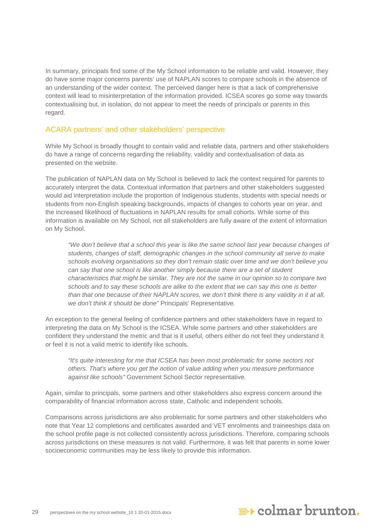In summary, principals find some of the My School information to be reliable and valid. However, they do have some major concerns parents' use of NAPLAN scores to compare schools in the absence of an understanding of the wider context. The perceived danger here is that a lack of comprehensive context will lead to misinterpretation of the information provided. ICSEA scores go some way towards contextualising but, in isolation, do not appear to meet the needs of principals or parents in this regard.

#### ACARA partners' and other stakeholders' perspective

While My School is broadly thought to contain valid and reliable data, partners and other stakeholders do have a range of concerns regarding the reliability, validity and contextualisation of data as presented on the website.

The publication of NAPLAN data on My School is believed to lack the context required for parents to accurately interpret the data. Contextual information that partners and other stakeholders suggested would aid interpretation include the proportion of Indigenous students, students with special needs or students from non-English speaking backgrounds, impacts of changes to cohorts year on year, and the increased likelihood of fluctuations in NAPLAN results for small cohorts. While some of this information is available on My School, not all stakeholders are fully aware of the extent of information on My School.

*"We don't believe that a school this year is like the same school last year because changes of students, changes of staff, demographic changes in the school community all serve to make schools evolving organisations so they don't remain static over time and we don't believe you can say that one school is like another simply because there are a set of student characteristics that might be similar. They are not the same in our opinion so to compare two schools and to say these schools are alike to the extent that we can say this one is better than that one because of their NAPLAN scores, we don't think there is any validity in it at all, we don't think it should be done"* Principals' Representative*.*

An exception to the general feeling of confidence partners and other stakeholders have in regard to interpreting the data on My School is the ICSEA. While some partners and other stakeholders are confident they understand the metric and that is it useful, others either do not feel they understand it or feel it is not a valid metric to identify like schools.

*"It's quite interesting for me that ICSEA has been most problematic for some sectors not others. That's where you get the notion of value adding when you measure performance against like schools"* Government School Sector representative*.*

Again, similar to principals, some partners and other stakeholders also express concern around the comparability of financial information across state, Catholic and independent schools.

Comparisons across jurisdictions are also problematic for some partners and other stakeholders who note that Year 12 completions and certificates awarded and VET enrolments and traineeships data on the school profile page is not collected consistently across jurisdictions. Therefore, comparing schools across jurisdictions on these measures is not valid. Furthermore, it was felt that parents in some lower socioeconomic communities may be less likely to provide this information.

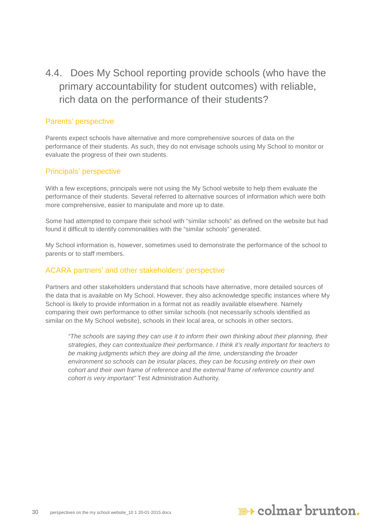<span id="page-29-0"></span>4.4. Does My School reporting provide schools (who have the primary accountability for student outcomes) with reliable, rich data on the performance of their students?

#### Parents' perspective

Parents expect schools have alternative and more comprehensive sources of data on the performance of their students. As such, they do not envisage schools using My School to monitor or evaluate the progress of their own students.

#### Principals' perspective

With a few exceptions, principals were not using the My School website to help them evaluate the performance of their students. Several referred to alternative sources of information which were both more comprehensive, easier to manipulate and more up to date.

Some had attempted to compare their school with "similar schools" as defined on the website but had found it difficult to identify commonalities with the "similar schools" generated.

My School information is, however, sometimes used to demonstrate the performance of the school to parents or to staff members.

#### ACARA partners' and other stakeholders' perspective

Partners and other stakeholders understand that schools have alternative, more detailed sources of the data that is available on My School. However, they also acknowledge specific instances where My School is likely to provide information in a format not as readily available elsewhere. Namely comparing their own performance to other similar schools (not necessarily schools identified as similar on the My School website), schools in their local area, or schools in other sectors.

*"The schools are saying they can use it to inform their own thinking about their planning, their strategies, they can contextualize their performance. I think it's really important for teachers to*  be making judgments which they are doing all the time, understanding the broader *environment so schools can be insular places, they can be focusing entirely on their own cohort and their own frame of reference and the external frame of reference country and cohort is very important"* Test Administration Authority*.*

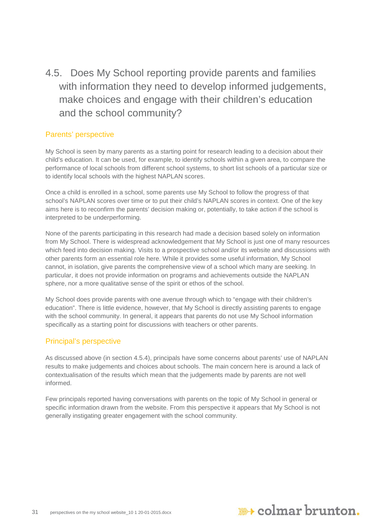<span id="page-30-0"></span>4.5. Does My School reporting provide parents and families with information they need to develop informed judgements, make choices and engage with their children's education and the school community?

#### Parents' perspective

My School is seen by many parents as a starting point for research leading to a decision about their child's education. It can be used, for example, to identify schools within a given area, to compare the performance of local schools from different school systems, to short list schools of a particular size or to identify local schools with the highest NAPLAN scores.

Once a child is enrolled in a school, some parents use My School to follow the progress of that school's NAPLAN scores over time or to put their child's NAPLAN scores in context. One of the key aims here is to reconfirm the parents' decision making or, potentially, to take action if the school is interpreted to be underperforming.

None of the parents participating in this research had made a decision based solely on information from My School. There is widespread acknowledgement that My School is just one of many resources which feed into decision making. Visits to a prospective school and/or its website and discussions with other parents form an essential role here. While it provides some useful information, My School cannot, in isolation, give parents the comprehensive view of a school which many are seeking. In particular, it does not provide information on programs and achievements outside the NAPLAN sphere, nor a more qualitative sense of the spirit or ethos of the school.

My School does provide parents with one avenue through which to "engage with their children's education". There is little evidence, however, that My School is directly assisting parents to engage with the school community. In general, it appears that parents do not use My School information specifically as a starting point for discussions with teachers or other parents.

#### Principal's perspective

As discussed above (in section 4.5.4), principals have some concerns about parents' use of NAPLAN results to make judgements and choices about schools. The main concern here is around a lack of contextualisation of the results which mean that the judgements made by parents are not well informed.

Few principals reported having conversations with parents on the topic of My School in general or specific information drawn from the website. From this perspective it appears that My School is not generally instigating greater engagement with the school community.

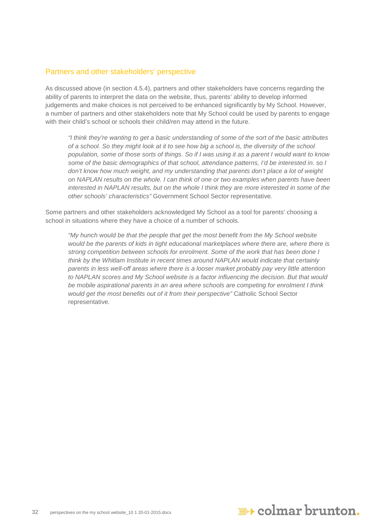#### Partners and other stakeholders' perspective

As discussed above (in section 4.5.4), partners and other stakeholders have concerns regarding the ability of parents to interpret the data on the website, thus, parents' ability to develop informed judgements and make choices is not perceived to be enhanced significantly by My School. However, a number of partners and other stakeholders note that My School could be used by parents to engage with their child's school or schools their child/ren may attend in the future.

*"I think they're wanting to get a basic understanding of some of the sort of the basic attributes of a school. So they might look at it to see how big a school is, the diversity of the school population, some of those sorts of things. So if I was using it as a parent I would want to know some of the basic demographics of that school, attendance patterns, I'd be interested in. so I don't know how much weight, and my understanding that parents don't place a lot of weight on NAPLAN results on the whole. I can think of one or two examples when parents have been interested in NAPLAN results, but on the whole I think they are more interested in some of the other schools' characteristics"* Government School Sector representative*.*

Some partners and other stakeholders acknowledged My School as a tool for parents' choosing a school in situations where they have a choice of a number of schools.

<span id="page-31-0"></span>*"My hunch would be that the people that get the most benefit from the My School website would be the parents of kids in tight educational marketplaces where there are, where there is strong competition between schools for enrolment. Some of the work that has been done I think by the Whitlam Institute in recent times around NAPLAN would indicate that certainly parents in less well-off areas where there is a looser market probably pay very little attention*  to NAPLAN scores and My School website is a factor influencing the decision. But that would *be mobile aspirational parents in an area where schools are competing for enrolment I think would get the most benefits out of it from their perspective"* Catholic School Sector representative*.*

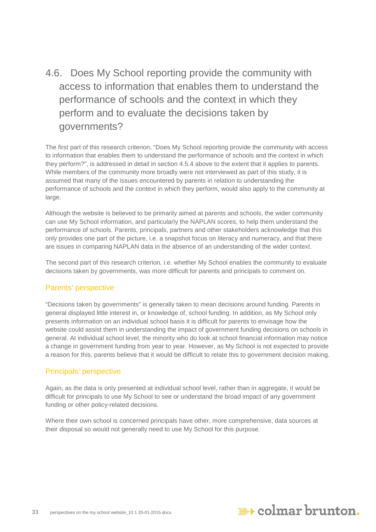## 4.6. Does My School reporting provide the community with access to information that enables them to understand the performance of schools and the context in which they perform and to evaluate the decisions taken by governments?

The first part of this research criterion, "Does My School reporting provide the community with access to information that enables them to understand the performance of schools and the context in which they perform?", is addressed in detail in section 4.5.4 above to the extent that it applies to parents. While members of the community more broadly were not interviewed as part of this study, it is assumed that many of the issues encountered by parents in relation to understanding the performance of schools and the context in which they perform, would also apply to the community at large.

Although the website is believed to be primarily aimed at parents and schools, the wider community can use My School information, and particularly the NAPLAN scores, to help them understand the performance of schools. Parents, principals, partners and other stakeholders acknowledge that this only provides one part of the picture, i.e. a snapshot focus on literacy and numeracy, and that there are issues in comparing NAPLAN data in the absence of an understanding of the wider context.

The second part of this research criterion, i.e. whether My School enables the community to evaluate decisions taken by governments, was more difficult for parents and principals to comment on.

#### Parents' perspective

"Decisions taken by governments" is generally taken to mean decisions around funding. Parents in general displayed little interest in, or knowledge of, school funding. In addition, as My School only presents information on an individual school basis it is difficult for parents to envisage how the website could assist them in understanding the impact of government funding decisions on schools in general. At individual school level, the minority who do look at school financial information may notice a change in government funding from year to year. However, as My School is not expected to provide a reason for this, parents believe that it would be difficult to relate this to government decision making.

#### Principals' perspective

Again, as the data is only presented at individual school level, rather than in aggregate, it would be difficult for principals to use My School to see or understand the broad impact of any government funding or other policy-related decisions.

Where their own school is concerned principals have other, more comprehensive, data sources at their disposal so would not generally need to use My School for this purpose.

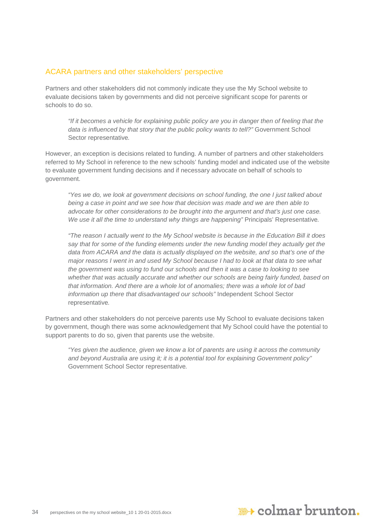#### ACARA partners and other stakeholders' perspective

Partners and other stakeholders did not commonly indicate they use the My School website to evaluate decisions taken by governments and did not perceive significant scope for parents or schools to do so.

*"If it becomes a vehicle for explaining public policy are you in danger then of feeling that the data is influenced by that story that the public policy wants to tell?"* Government School Sector representative*.*

However, an exception is decisions related to funding. A number of partners and other stakeholders referred to My School in reference to the new schools' funding model and indicated use of the website to evaluate government funding decisions and if necessary advocate on behalf of schools to government.

*"Yes we do, we look at government decisions on school funding, the one I just talked about being a case in point and we see how that decision was made and we are then able to advocate for other considerations to be brought into the argument and that's just one case. We use it all the time to understand why things are happening"* Principals' Representative*.*

*"The reason I actually went to the My School website is because in the Education Bill it does say that for some of the funding elements under the new funding model they actually get the data from ACARA and the data is actually displayed on the website, and so that's one of the major reasons I went in and used My School because I had to look at that data to see what the government was using to fund our schools and then it was a case to looking to see whether that was actually accurate and whether our schools are being fairly funded, based on that information. And there are a whole lot of anomalies; there was a whole lot of bad information up there that disadvantaged our schools"* Independent School Sector representative*.*

Partners and other stakeholders do not perceive parents use My School to evaluate decisions taken by government, though there was some acknowledgement that My School could have the potential to support parents to do so, given that parents use the website.

<span id="page-33-0"></span>*"Yes given the audience, given we know a lot of parents are using it across the community and beyond Australia are using it; it is a potential tool for explaining Government policy"*  Government School Sector representative*.*

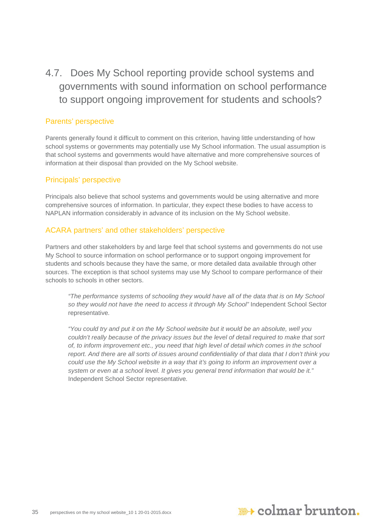4.7. Does My School reporting provide school systems and governments with sound information on school performance to support ongoing improvement for students and schools?

#### Parents' perspective

Parents generally found it difficult to comment on this criterion, having little understanding of how school systems or governments may potentially use My School information. The usual assumption is that school systems and governments would have alternative and more comprehensive sources of information at their disposal than provided on the My School website.

#### Principals' perspective

Principals also believe that school systems and governments would be using alternative and more comprehensive sources of information. In particular, they expect these bodies to have access to NAPLAN information considerably in advance of its inclusion on the My School website.

#### ACARA partners' and other stakeholders' perspective

Partners and other stakeholders by and large feel that school systems and governments do not use My School to source information on school performance or to support ongoing improvement for students and schools because they have the same, or more detailed data available through other sources. The exception is that school systems may use My School to compare performance of their schools to schools in other sectors.

*"The performance systems of schooling they would have all of the data that is on My School so they would not have the need to access it through My School"* Independent School Sector representative*.*

*"You could try and put it on the My School website but it would be an absolute, well you couldn't really because of the privacy issues but the level of detail required to make that sort of, to inform improvement etc., you need that high level of detail which comes in the school report. And there are all sorts of issues around confidentiality of that data that I don't think you could use the My School website in a way that it's going to inform an improvement over a system or even at a school level. It gives you general trend information that would be it."*  Independent School Sector representative*.*

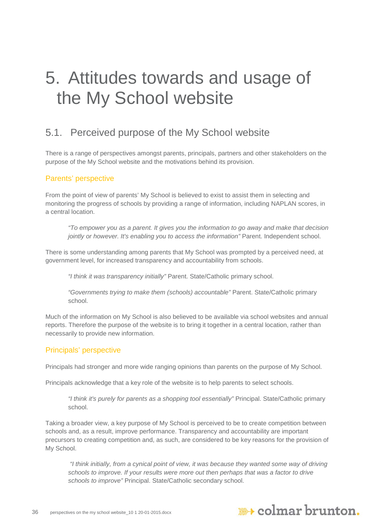## <span id="page-35-0"></span>5. Attitudes towards and usage of the My School website

## <span id="page-35-1"></span>5.1. Perceived purpose of the My School website

There is a range of perspectives amongst parents, principals, partners and other stakeholders on the purpose of the My School website and the motivations behind its provision.

#### Parents' perspective

From the point of view of parents' My School is believed to exist to assist them in selecting and monitoring the progress of schools by providing a range of information, including NAPLAN scores, in a central location.

*"To empower you as a parent. It gives you the information to go away and make that decision jointly or however. It's enabling you to access the information"* Parent. Independent school.

There is some understanding among parents that My School was prompted by a perceived need, at government level, for increased transparency and accountability from schools.

*"I think it was transparency initially"* Parent. State/Catholic primary school.

*"Governments trying to make them (schools) accountable"* Parent. State/Catholic primary school.

Much of the information on My School is also believed to be available via school websites and annual reports. Therefore the purpose of the website is to bring it together in a central location, rather than necessarily to provide new information.

#### Principals' perspective

Principals had stronger and more wide ranging opinions than parents on the purpose of My School.

Principals acknowledge that a key role of the website is to help parents to select schools.

*"I think it's purely for parents as a shopping tool essentially"* Principal. State/Catholic primary school.

Taking a broader view, a key purpose of My School is perceived to be to create competition between schools and, as a result, improve performance. Transparency and accountability are important precursors to creating competition and, as such, are considered to be key reasons for the provision of My School.

*"I think initially, from a cynical point of view, it was because they wanted some way of driving schools to improve. If your results were more out then perhaps that was a factor to drive schools to improve"* Principal. State/Catholic secondary school.

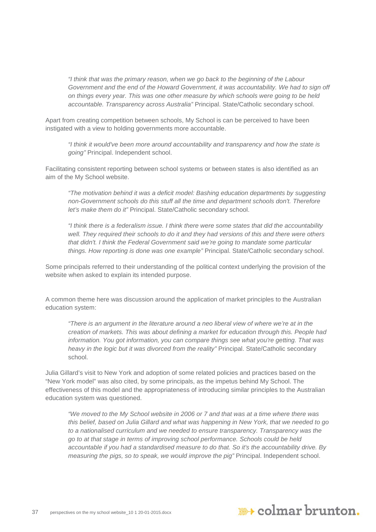*"I think that was the primary reason, when we go back to the beginning of the Labour Government and the end of the Howard Government, it was accountability. We had to sign off on things every year. This was one other measure by which schools were going to be held accountable. Transparency across Australia"* Principal. State/Catholic secondary school.

Apart from creating competition between schools, My School is can be perceived to have been instigated with a view to holding governments more accountable.

*"I think it would've been more around accountability and transparency and how the state is going"* Principal. Independent school.

Facilitating consistent reporting between school systems or between states is also identified as an aim of the My School website.

*"The motivation behind it was a deficit model: Bashing education departments by suggesting non-Government schools do this stuff all the time and department schools don't. Therefore let's make them do it"* Principal. State/Catholic secondary school.

*"I think there is a federalism issue. I think there were some states that did the accountability well. They required their schools to do it and they had versions of this and there were others that didn't. I think the Federal Government said we're going to mandate some particular things. How reporting is done was one example"* Principal. State/Catholic secondary school.

Some principals referred to their understanding of the political context underlying the provision of the website when asked to explain its intended purpose.

A common theme here was discussion around the application of market principles to the Australian education system:

*"There is an argument in the literature around a neo liberal view of where we're at in the creation of markets. This was about defining a market for education through this. People had information. You got information, you can compare things see what you're getting. That was heavy in the logic but it was divorced from the reality"* Principal. State/Catholic secondary school.

Julia Gillard's visit to New York and adoption of some related policies and practices based on the "New York model" was also cited, by some principals, as the impetus behind My School. The effectiveness of this model and the appropriateness of introducing similar principles to the Australian education system was questioned.

*"We moved to the My School website in 2006 or 7 and that was at a time where there was this belief, based on Julia Gillard and what was happening in New York, that we needed to go to a nationalised curriculum and we needed to ensure transparency. Transparency was the go to at that stage in terms of improving school performance. Schools could be held accountable if you had a standardised measure to do that. So it's the accountability drive. By measuring the pigs, so to speak, we would improve the pig"* Principal. Independent school.

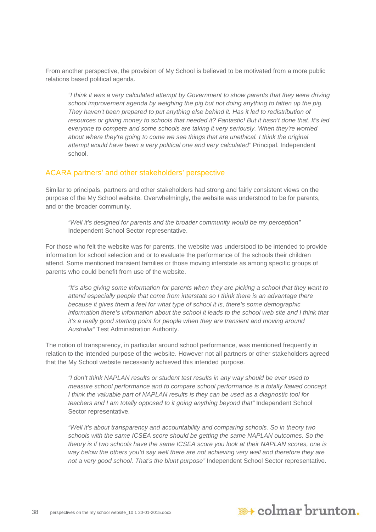From another perspective, the provision of My School is believed to be motivated from a more public relations based political agenda*.*

*"I think it was a very calculated attempt by Government to show parents that they were driving*  school improvement agenda by weighing the pig but not doing anything to fatten up the pig. They haven't been prepared to put anything else behind it. Has it led to redistribution of *resources or giving money to schools that needed it? Fantastic! But it hasn't done that. It's led everyone to compete and some schools are taking it very seriously. When they're worried about where they're going to come we see things that are unethical. I think the original attempt would have been a very political one and very calculated"* Principal. Independent school.

#### ACARA partners' and other stakeholders' perspective

Similar to principals, partners and other stakeholders had strong and fairly consistent views on the purpose of the My School website. Overwhelmingly, the website was understood to be for parents, and or the broader community.

*"Well it's designed for parents and the broader community would be my perception"* Independent School Sector representative.

For those who felt the website was for parents, the website was understood to be intended to provide information for school selection and or to evaluate the performance of the schools their children attend. Some mentioned transient families or those moving interstate as among specific groups of parents who could benefit from use of the website.

*"It's also giving some information for parents when they are picking a school that they want to attend especially people that come from interstate so I think there is an advantage there because it gives them a feel for what type of school it is, there's some demographic information there's information about the school it leads to the school web site and I think that it's a really good starting point for people when they are transient and moving around Australia"* Test Administration Authority.

The notion of transparency, in particular around school performance, was mentioned frequently in relation to the intended purpose of the website. However not all partners or other stakeholders agreed that the My School website necessarily achieved this intended purpose.

*"I don't think NAPLAN results or student test results in any way should be ever used to measure school performance and to compare school performance is a totally flawed concept. I think the valuable part of NAPLAN results is they can be used as a diagnostic tool for teachers and I am totally opposed to it going anything beyond that"* Independent School Sector representative.

*"Well it's about transparency and accountability and comparing schools. So in theory two schools with the same ICSEA score should be getting the same NAPLAN outcomes. So the theory is if two schools have the same ICSEA score you look at their NAPLAN scores, one is way below the others you'd say well there are not achieving very well and therefore they are not a very good school. That's the blunt purpose"* Independent School Sector representative.

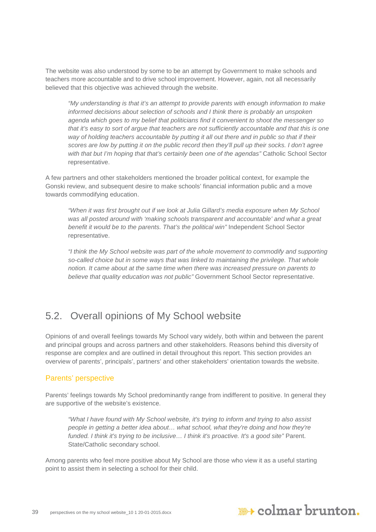The website was also understood by some to be an attempt by Government to make schools and teachers more accountable and to drive school improvement. However, again, not all necessarily believed that this objective was achieved through the website.

*"My understanding is that it's an attempt to provide parents with enough information to make informed decisions about selection of schools and I think there is probably an unspoken agenda which goes to my belief that politicians find it convenient to shoot the messenger so that it's easy to sort of argue that teachers are not sufficiently accountable and that this is one way of holding teachers accountable by putting it all out there and in public so that if their scores are low by putting it on the public record then they'll pull up their socks. I don't agree with that but I'm hoping that that's certainly been one of the agendas"* Catholic School Sector representative.

A few partners and other stakeholders mentioned the broader political context, for example the Gonski review, and subsequent desire to make schools' financial information public and a move towards commodifying education.

*"When it was first brought out if we look at Julia Gillard's media exposure when My School*  was all posted around with 'making schools transparent and accountable' and what a great *benefit it would be to the parents. That's the political win"* Independent School Sector representative.

*"I think the My School website was part of the whole movement to commodify and supporting so-called choice but in some ways that was linked to maintaining the privilege. That whole notion. It came about at the same time when there was increased pressure on parents to believe that quality education was not public"* Government School Sector representative.

## <span id="page-38-0"></span>5.2. Overall opinions of My School website

Opinions of and overall feelings towards My School vary widely, both within and between the parent and principal groups and across partners and other stakeholders. Reasons behind this diversity of response are complex and are outlined in detail throughout this report. This section provides an overview of parents', principals', partners' and other stakeholders' orientation towards the website.

#### Parents' perspective

Parents' feelings towards My School predominantly range from indifferent to positive. In general they are supportive of the website's existence.

*"What I have found with My School website, it's trying to inform and trying to also assist people in getting a better idea about… what school, what they're doing and how they're funded. I think it's trying to be inclusive… I think it's proactive. It's a good site"* Parent. State/Catholic secondary school.

Among parents who feel more positive about My School are those who view it as a useful starting point to assist them in selecting a school for their child.

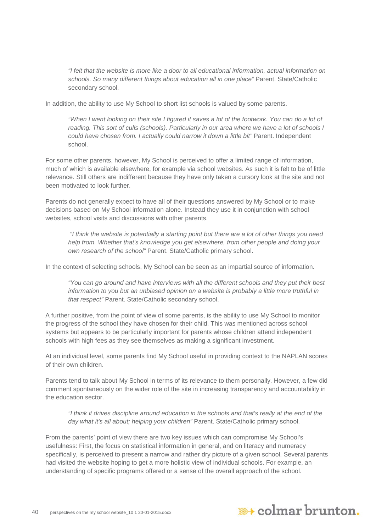*"I felt that the website is more like a door to all educational information, actual information on schools. So many different things about education all in one place"* Parent. State/Catholic secondary school.

In addition, the ability to use My School to short list schools is valued by some parents.

"When I went looking on their site I figured it saves a lot of the footwork. You can do a lot of *reading. This sort of culls (schools). Particularly in our area where we have a lot of schools I could have chosen from. I actually could narrow it down a little bit"* Parent. Independent school.

For some other parents, however, My School is perceived to offer a limited range of information, much of which is available elsewhere, for example via school websites. As such it is felt to be of little relevance. Still others are indifferent because they have only taken a cursory look at the site and not been motivated to look further.

Parents do not generally expect to have all of their questions answered by My School or to make decisions based on My School information alone. Instead they use it in conjunction with school websites, school visits and discussions with other parents.

*"I think the website is potentially a starting point but there are a lot of other things you need help from. Whether that's knowledge you get elsewhere, from other people and doing your own research of the school"* Parent. State/Catholic primary school.

In the context of selecting schools, My School can be seen as an impartial source of information.

*"You can go around and have interviews with all the different schools and they put their best information to you but an unbiased opinion on a website is probably a little more truthful in that respect"* Parent. State/Catholic secondary school.

A further positive, from the point of view of some parents, is the ability to use My School to monitor the progress of the school they have chosen for their child. This was mentioned across school systems but appears to be particularly important for parents whose children attend independent schools with high fees as they see themselves as making a significant investment.

At an individual level, some parents find My School useful in providing context to the NAPLAN scores of their own children.

Parents tend to talk about My School in terms of its relevance to them personally. However, a few did comment spontaneously on the wider role of the site in increasing transparency and accountability in the education sector.

*"I think it drives discipline around education in the schools and that's really at the end of the day what it's all about; helping your children"* Parent. State/Catholic primary school.

From the parents' point of view there are two key issues which can compromise My School's usefulness: First, the focus on statistical information in general, and on literacy and numeracy specifically, is perceived to present a narrow and rather dry picture of a given school. Several parents had visited the website hoping to get a more holistic view of individual schools. For example, an understanding of specific programs offered or a sense of the overall approach of the school.

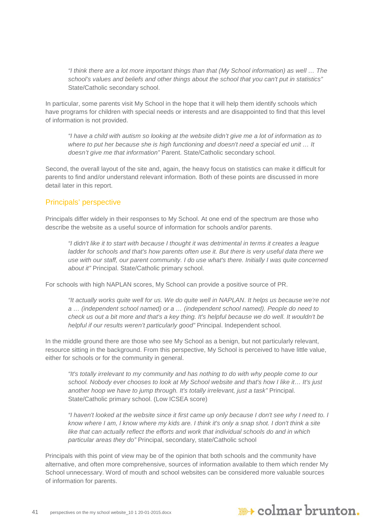*"I think there are a lot more important things than that (My School information) as well … The school's values and beliefs and other things about the school that you can't put in statistics"*  State/Catholic secondary school.

In particular, some parents visit My School in the hope that it will help them identify schools which have programs for children with special needs or interests and are disappointed to find that this level of information is not provided.

*"I have a child with autism so looking at the website didn't give me a lot of information as to where to put her because she is high functioning and doesn't need a special ed unit … It doesn't give me that information"* Parent. State/Catholic secondary school.

Second, the overall layout of the site and, again, the heavy focus on statistics can make it difficult for parents to find and/or understand relevant information. Both of these points are discussed in more detail later in this report.

#### Principals' perspective

Principals differ widely in their responses to My School. At one end of the spectrum are those who describe the website as a useful source of information for schools and/or parents.

*"I didn't like it to start with because I thought it was detrimental in terms it creates a league ladder for schools and that's how parents often use it. But there is very useful data there we use with our staff, our parent community. I do use what's there. Initially I was quite concerned about it"* Principal. State/Catholic primary school.

For schools with high NAPLAN scores, My School can provide a positive source of PR.

*"It actually works quite well for us. We do quite well in NAPLAN. It helps us because we're not a … (independent school named) or a … (independent school named). People do need to check us out a bit more and that's a key thing. It's helpful because we do well. It wouldn't be helpful if our results weren't particularly good"* Principal. Independent school.

In the middle ground there are those who see My School as a benign, but not particularly relevant, resource sitting in the background. From this perspective, My School is perceived to have little value, either for schools or for the community in general.

*"It's totally irrelevant to my community and has nothing to do with why people come to our school. Nobody ever chooses to look at My School website and that's how I like it… It's just another hoop we have to jump through. It's totally irrelevant, just a task"* Principal. State/Catholic primary school. (Low ICSEA score)

*"I haven't looked at the website since it first came up only because I don't see why I need to. I know where I am, I know where my kids are. I think it's only a snap shot. I don't think a site like that can actually reflect the efforts and work that individual schools do and in which particular areas they do"* Principal, secondary, state/Catholic school

Principals with this point of view may be of the opinion that both schools and the community have alternative, and often more comprehensive, sources of information available to them which render My School unnecessary. Word of mouth and school websites can be considered more valuable sources of information for parents.

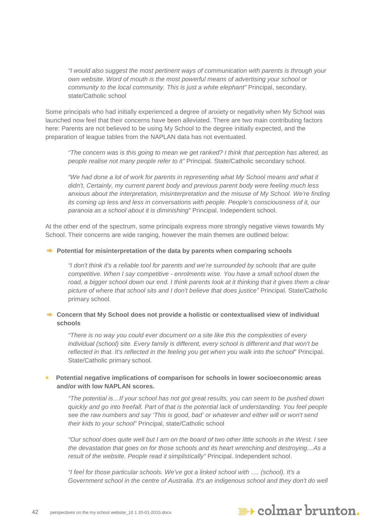*"I would also suggest the most pertinent ways of communication with parents is through your own website. Word of mouth is the most powerful means of advertising your school or community to the local community. This is just a white elephant"* Principal, secondary, state/Catholic school

Some principals who had initially experienced a degree of anxiety or negativity when My School was launched now feel that their concerns have been alleviated. There are two main contributing factors here: Parents are not believed to be using My School to the degree initially expected, and the preparation of league tables from the NAPLAN data has not eventuated.

*"The concern was is this going to mean we get ranked? I think that perception has altered, as people realise not many people refer to it"* Principal. State/Catholic secondary school.

*"We had done a lot of work for parents in representing what My School means and what it didn't. Certainly, my current parent body and previous parent body were feeling much less anxious about the interpretation, misinterpretation and the misuse of My School. We're finding its coming up less and less in conversations with people. People's consciousness of it, our paranoia as a school about it is diminishing"* Principal. Independent school.

At the other end of the spectrum, some principals express more strongly negative views towards My School. Their concerns are wide ranging, however the main themes are outlined below:

#### **Potential for misinterpretation of the data by parents when comparing schools**

*"I don't think it's a reliable tool for parents and we're surrounded by schools that are quite competitive. When I say competitive - enrolments wise. You have a small school down the road, a bigger school down our end. I think parents look at it thinking that it gives them a clear picture of where that school sits and I don't believe that does justice"* Principal. State/Catholic primary school.

#### ■ Concern that My School does not provide a holistic or contextualised view of individual **schools**

*"There is no way you could ever document on a site like this the complexities of every individual (school) site. Every family is different, every school is different and that won't be reflected in that. It's reflected in the feeling you get when you walk into the school*" Principal. State/Catholic primary school*.*

#### • **Potential negative implications of comparison for schools in lower socioeconomic areas and/or with low NAPLAN scores.**

*"The potential is…If your school has not got great results, you can seem to be pushed down quickly and go into freefall. Part of that is the potential lack of understanding. You feel people see the raw numbers and say 'This is good, bad' or whatever and either will or won't send their kids to your school"* Principal, state/Catholic school

*"Our school does quite well but I am on the board of two other little schools in the West. I see the devastation that goes on for those schools and its heart wrenching and destroying…As a result of the website. People read it simplistically"* Principal. Independent school.

*"I feel for those particular schools. We've got a linked school with …. (school). It's a Government school in the centre of Australia. It's an indigenous school and they don't do well* 

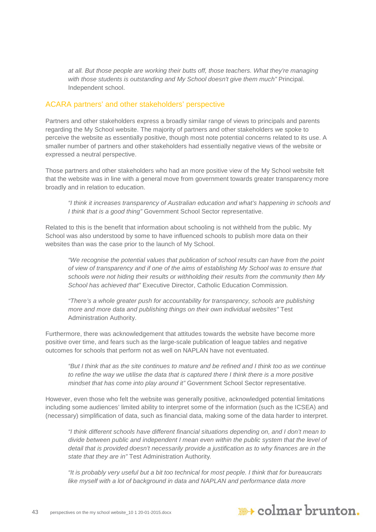*at all. But those people are working their butts off, those teachers. What they're managing with those students is outstanding and My School doesn't give them much"* Principal. Independent school.

#### ACARA partners' and other stakeholders' perspective

Partners and other stakeholders express a broadly similar range of views to principals and parents regarding the My School website. The majority of partners and other stakeholders we spoke to perceive the website as essentially positive, though most note potential concerns related to its use. A smaller number of partners and other stakeholders had essentially negative views of the website or expressed a neutral perspective.

Those partners and other stakeholders who had an more positive view of the My School website felt that the website was in line with a general move from government towards greater transparency more broadly and in relation to education.

*"I think it increases transparency of Australian education and what's happening in schools and I think that is a good thing"* Government School Sector representative.

Related to this is the benefit that information about schooling is not withheld from the public. My School was also understood by some to have influenced schools to publish more data on their websites than was the case prior to the launch of My School.

*"We recognise the potential values that publication of school results can have from the point of view of transparency and if one of the aims of establishing My School was to ensure that schools were not hiding their results or withholding their results from the community then My School has achieved that"* Executive Director, Catholic Education Commission*.*

*"There's a whole greater push for accountability for transparency, schools are publishing more and more data and publishing things on their own individual websites"* Test Administration Authority.

Furthermore, there was acknowledgement that attitudes towards the website have become more positive over time, and fears such as the large-scale publication of league tables and negative outcomes for schools that perform not as well on NAPLAN have not eventuated.

*"But I think that as the site continues to mature and be refined and I think too as we continue to refine the way we utilise the data that is captured there I think there is a more positive mindset that has come into play around it"* Government School Sector representative*.*

However, even those who felt the website was generally positive, acknowledged potential limitations including some audiences' limited ability to interpret some of the information (such as the ICSEA) and (necessary) simplification of data, such as financial data, making some of the data harder to interpret.

*"I think different schools have different financial situations depending on, and I don't mean to divide between public and independent I mean even within the public system that the level of detail that is provided doesn't necessarily provide a justification as to why finances are in the state that they are in"* Test Administration Authority*.*

*"It is probably very useful but a bit too technical for most people. I think that for bureaucrats*  like myself with a lot of background in data and NAPLAN and performance data more

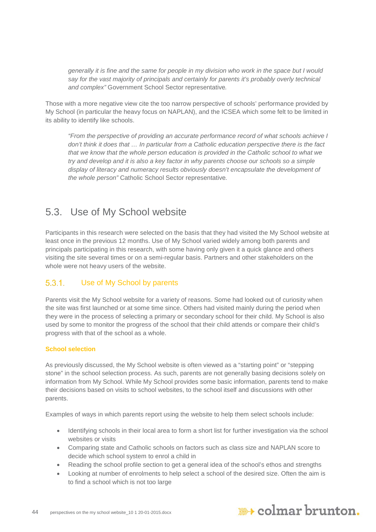*generally it is fine and the same for people in my division who work in the space but I would say for the vast majority of principals and certainly for parents it's probably overly technical and complex"* Government School Sector representative*.*

Those with a more negative view cite the too narrow perspective of schools' performance provided by My School (in particular the heavy focus on NAPLAN), and the ICSEA which some felt to be limited in its ability to identify like schools.

*"From the perspective of providing an accurate performance record of what schools achieve I don't think it does that … In particular from a Catholic education perspective there is the fact that we know that the whole person education is provided in the Catholic school to what we try and develop and it is also a key factor in why parents choose our schools so a simple*  display of literacy and numeracy results obviously doesn't encapsulate the development of *the whole person"* Catholic School Sector representative*.*

## <span id="page-43-0"></span>5.3. Use of My School website

Participants in this research were selected on the basis that they had visited the My School website at least once in the previous 12 months. Use of My School varied widely among both parents and principals participating in this research, with some having only given it a quick glance and others visiting the site several times or on a semi-regular basis. Partners and other stakeholders on the whole were not heavy users of the website.

#### $5.3.1$ Use of My School by parents

Parents visit the My School website for a variety of reasons. Some had looked out of curiosity when the site was first launched or at some time since. Others had visited mainly during the period when they were in the process of selecting a primary or secondary school for their child. My School is also used by some to monitor the progress of the school that their child attends or compare their child's progress with that of the school as a whole.

#### **School selection**

As previously discussed, the My School website is often viewed as a "starting point" or "stepping stone" in the school selection process. As such, parents are not generally basing decisions solely on information from My School. While My School provides some basic information, parents tend to make their decisions based on visits to school websites, to the school itself and discussions with other parents.

Examples of ways in which parents report using the website to help them select schools include:

- Identifying schools in their local area to form a short list for further investigation via the school websites or visits
- Comparing state and Catholic schools on factors such as class size and NAPLAN score to decide which school system to enrol a child in
- Reading the school profile section to get a general idea of the school's ethos and strengths
- Looking at number of enrolments to help select a school of the desired size. Often the aim is to find a school which is not too large

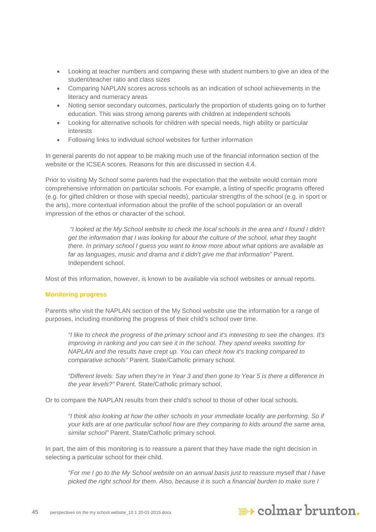- Looking at teacher numbers and comparing these with student numbers to give an idea of the student/teacher ratio and class sizes
- Comparing NAPLAN scores across schools as an indication of school achievements in the literacy and numeracy areas
- Noting senior secondary outcomes, particularly the proportion of students going on to further education. This was strong among parents with children at independent schools
- Looking for alternative schools for children with special needs, high ability or particular interests
- Following links to individual school websites for further information

In general parents do not appear to be making much use of the financial information section of the website or the ICSEA scores. Reasons for this are discussed in section 4.4.

Prior to visiting My School some parents had the expectation that the website would contain more comprehensive information on particular schools. For example, a listing of specific programs offered (e.g. for gifted children or those with special needs), particular strengths of the school (e.g. in sport or the arts), more contextual information about the profile of the school population or an overall impression of the ethos or character of the school.

*"I looked at the My School website to check the local schools in the area and I found I didn't get the information that I was looking for about the culture of the school, what they taught there. In primary school I guess you want to know more about what options are available as far as languages, music and drama and it didn't give me that information"* Parent. Independent school.

Most of this information, however, is known to be available via school websites or annual reports.

#### **Monitoring progress**

Parents who visit the NAPLAN section of the My School website use the information for a range of purposes, including monitoring the progress of their child's school over time.

*"I like to check the progress of the primary school and it's interesting to see the changes. It's improving in ranking and you can see it in the school. They spend weeks swotting for NAPLAN and the results have crept up. You can check how it's tracking compared to comparative schools"* Parent. State/Catholic primary school.

*"Different levels: Say when they're in Year 3 and then gone to Year 5 is there a difference in the year levels?"* Parent. State/Catholic primary school.

Or to compare the NAPLAN results from their child's school to those of other local schools.

*"I think also looking at how the other schools in your immediate locality are performing. So if your kids are at one particular school how are they comparing to kids around the same area, similar school"* Parent. State/Catholic primary school.

In part, the aim of this monitoring is to reassure a parent that they have made the right decision in selecting a particular school for their child.

*"For me I go to the My School website on an annual basis just to reassure myself that I have picked the right school for them. Also, because it is such a financial burden to make sure I* 

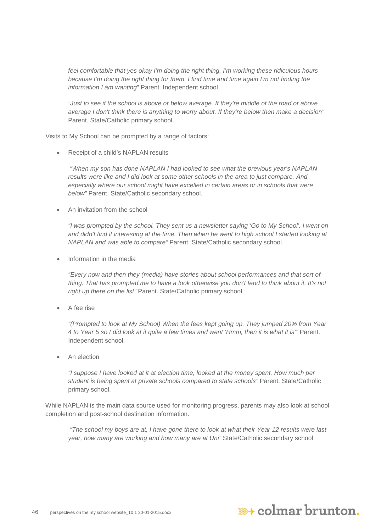*feel comfortable that yes okay I'm doing the right thing, I'm working these ridiculous hours because I'm doing the right thing for them. I find time and time again I'm not finding the information I am wanting*" Parent. Independent school.

*"Just to see if the school is above or below average. If they're middle of the road or above average I don't think there is anything to worry about. If they're below then make a decision"* Parent. State/Catholic primary school.

Visits to My School can be prompted by a range of factors:

Receipt of a child's NAPLAN results

*"When my son has done NAPLAN I had looked to see what the previous year's NAPLAN results were like and I did look at some other schools in the area to just compare. And*  especially where our school might have excelled in certain areas or in schools that were *below"* Parent. State/Catholic secondary school.

• An invitation from the school

*"I was prompted by the school. They sent us a newsletter saying 'Go to My School'. I went on and didn't find it interesting at the time. Then when he went to high school I started looking at NAPLAN and was able to compare"* Parent. State/Catholic secondary school.

• Information in the media

*"Every now and then they (media) have stories about school performances and that sort of thing. That has prompted me to have a look otherwise you don't tend to think about it. It's not right up there on the list"* Parent. State/Catholic primary school.

A fee rise

*"(Prompted to look at My School) When the fees kept going up. They jumped 20% from Year 4 to Year 5 so I did look at it quite a few times and went 'Hmm, then it is what it is'"* Parent. Independent school.

An election

*"I suppose I have looked at it at election time, looked at the money spent. How much per student is being spent at private schools compared to state schools"* Parent. State/Catholic primary school.

While NAPLAN is the main data source used for monitoring progress, parents may also look at school completion and post-school destination information.

*"The school my boys are at, I have gone there to look at what their Year 12 results were last year, how many are working and how many are at Uni"* State/Catholic secondary school

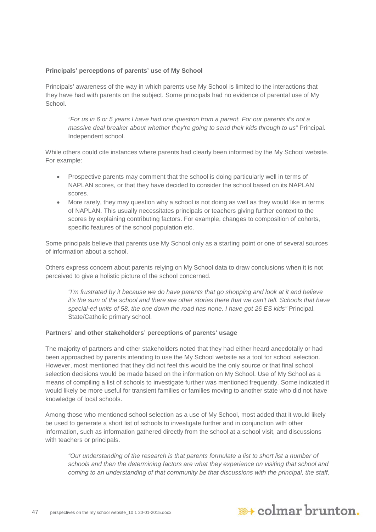#### **Principals' perceptions of parents' use of My School**

Principals' awareness of the way in which parents use My School is limited to the interactions that they have had with parents on the subject. Some principals had no evidence of parental use of My **School** 

*"For us in 6 or 5 years I have had one question from a parent. For our parents it's not a massive deal breaker about whether they're going to send their kids through to us"* Principal. Independent school.

While others could cite instances where parents had clearly been informed by the My School website. For example:

- Prospective parents may comment that the school is doing particularly well in terms of NAPLAN scores, or that they have decided to consider the school based on its NAPLAN scores.
- More rarely, they may question why a school is not doing as well as they would like in terms of NAPLAN. This usually necessitates principals or teachers giving further context to the scores by explaining contributing factors. For example, changes to composition of cohorts, specific features of the school population etc.

Some principals believe that parents use My School only as a starting point or one of several sources of information about a school.

Others express concern about parents relying on My School data to draw conclusions when it is not perceived to give a holistic picture of the school concerned.

*"I'm frustrated by it because we do have parents that go shopping and look at it and believe it's the sum of the school and there are other stories there that we can't tell. Schools that have special-ed units of 58, the one down the road has none. I have got 26 ES kids"* Principal. State/Catholic primary school.

#### **Partners' and other stakeholders' perceptions of parents' usage**

The majority of partners and other stakeholders noted that they had either heard anecdotally or had been approached by parents intending to use the My School website as a tool for school selection. However, most mentioned that they did not feel this would be the only source or that final school selection decisions would be made based on the information on My School. Use of My School as a means of compiling a list of schools to investigate further was mentioned frequently. Some indicated it would likely be more useful for transient families or families moving to another state who did not have knowledge of local schools.

Among those who mentioned school selection as a use of My School, most added that it would likely be used to generate a short list of schools to investigate further and in conjunction with other information, such as information gathered directly from the school at a school visit, and discussions with teachers or principals.

*"Our understanding of the research is that parents formulate a list to short list a number of schools and then the determining factors are what they experience on visiting that school and coming to an understanding of that community be that discussions with the principal, the staff,* 

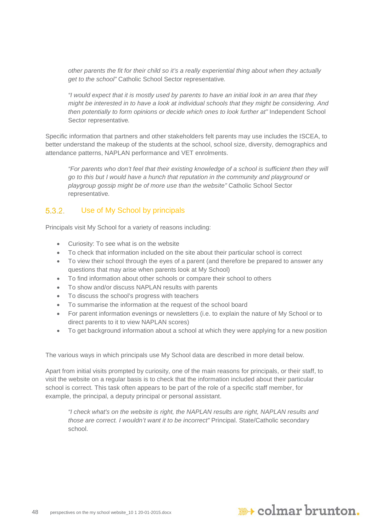*other parents the fit for their child so it's a really experiential thing about when they actually get to the school"* Catholic School Sector representative*.*

*"I would expect that it is mostly used by parents to have an initial look in an area that they might be interested in to have a look at individual schools that they might be considering. And*  then potentially to form opinions or decide which ones to look further at" Independent School Sector representative*.*

Specific information that partners and other stakeholders felt parents may use includes the ISCEA, to better understand the makeup of the students at the school, school size, diversity, demographics and attendance patterns, NAPLAN performance and VET enrolments.

*"For parents who don't feel that their existing knowledge of a school is sufficient then they will go to this but I would have a hunch that reputation in the community and playground or playgroup gossip might be of more use than the website"* Catholic School Sector representative*.*

#### $5.3.2.$ Use of My School by principals

Principals visit My School for a variety of reasons including:

- Curiosity: To see what is on the website
- To check that information included on the site about their particular school is correct
- To view their school through the eyes of a parent (and therefore be prepared to answer any questions that may arise when parents look at My School)
- To find information about other schools or compare their school to others
- To show and/or discuss NAPLAN results with parents
- To discuss the school's progress with teachers
- To summarise the information at the request of the school board
- For parent information evenings or newsletters (i.e. to explain the nature of My School or to direct parents to it to view NAPLAN scores)
- To get background information about a school at which they were applying for a new position

The various ways in which principals use My School data are described in more detail below.

Apart from initial visits prompted by curiosity, one of the main reasons for principals, or their staff, to visit the website on a regular basis is to check that the information included about their particular school is correct. This task often appears to be part of the role of a specific staff member, for example, the principal, a deputy principal or personal assistant.

*"I check what's on the website is right, the NAPLAN results are right, NAPLAN results and those are correct. I wouldn't want it to be incorrect"* Principal. State/Catholic secondary school.

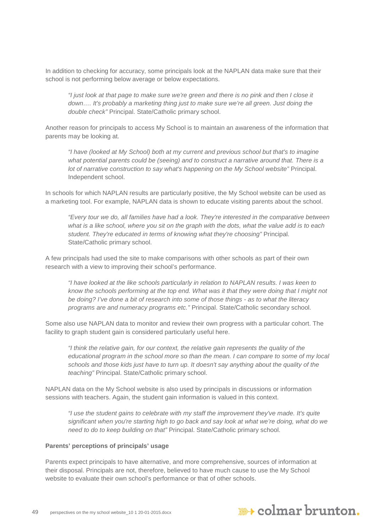In addition to checking for accuracy, some principals look at the NAPLAN data make sure that their school is not performing below average or below expectations.

*"I just look at that page to make sure we're green and there is no pink and then I close it down…. It's probably a marketing thing just to make sure we're all green. Just doing the double check"* Principal. State/Catholic primary school.

Another reason for principals to access My School is to maintain an awareness of the information that parents may be looking at.

*"I have (looked at My School) both at my current and previous school but that's to imagine what potential parents could be (seeing) and to construct a narrative around that. There is a lot of narrative construction to say what's happening on the My School website"* Principal. Independent school.

In schools for which NAPLAN results are particularly positive, the My School website can be used as a marketing tool. For example, NAPLAN data is shown to educate visiting parents about the school.

*"Every tour we do, all families have had a look. They're interested in the comparative between what is a like school, where you sit on the graph with the dots, what the value add is to each student. They're educated in terms of knowing what they're choosing"* Principal. State/Catholic primary school.

A few principals had used the site to make comparisons with other schools as part of their own research with a view to improving their school's performance.

*"I have looked at the like schools particularly in relation to NAPLAN results. I was keen to know the schools performing at the top end. What was it that they were doing that I might not be doing? I've done a bit of research into some of those things - as to what the literacy programs are and numeracy programs etc."* Principal. State/Catholic secondary school.

Some also use NAPLAN data to monitor and review their own progress with a particular cohort. The facility to graph student gain is considered particularly useful here.

*"I think the relative gain, for our context, the relative gain represents the quality of the educational program in the school more so than the mean. I can compare to some of my local schools and those kids just have to turn up. It doesn't say anything about the quality of the teaching"* Principal. State/Catholic primary school.

NAPLAN data on the My School website is also used by principals in discussions or information sessions with teachers. Again, the student gain information is valued in this context.

*"I use the student gains to celebrate with my staff the improvement they've made. It's quite significant when you're starting high to go back and say look at what we're doing, what do we need to do to keep building on that"* Principal. State/Catholic primary school.

#### **Parents' perceptions of principals' usage**

Parents expect principals to have alternative, and more comprehensive, sources of information at their disposal. Principals are not, therefore, believed to have much cause to use the My School website to evaluate their own school's performance or that of other schools.

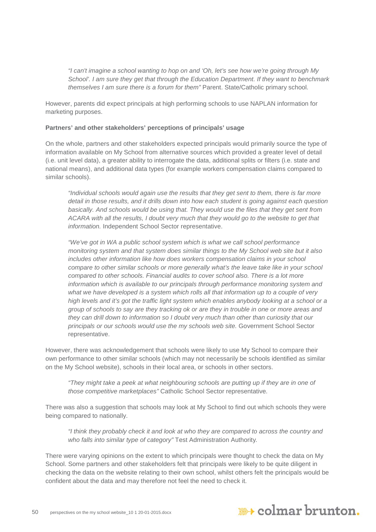*"I can't imagine a school wanting to hop on and 'Oh, let's see how we're going through My School'. I am sure they get that through the Education Department. If they want to benchmark themselves I am sure there is a forum for them"* Parent. State/Catholic primary school.

However, parents did expect principals at high performing schools to use NAPLAN information for marketing purposes.

#### **Partners' and other stakeholders' perceptions of principals' usage**

On the whole, partners and other stakeholders expected principals would primarily source the type of information available on My School from alternative sources which provided a greater level of detail (i.e. unit level data), a greater ability to interrogate the data, additional splits or filters (i.e. state and national means), and additional data types (for example workers compensation claims compared to similar schools).

*"Individual schools would again use the results that they get sent to them, there is far more detail in those results, and it drills down into how each student is going against each question basically. And schools would be using that. They would use the files that they get sent from ACARA with all the results, I doubt very much that they would go to the website to get that information.* Independent School Sector representative.

*"We've got in WA a public school system which is what we call school performance monitoring system and that system does similar things to the My School web site but it also includes other information like how does workers compensation claims in your school compare to other similar schools or more generally what's the leave take like in your school compared to other schools. Financial audits to cover school also. There is a lot more information which is available to our principals through performance monitoring system and what we have developed is a system which rolls all that information up to a couple of very high levels and it's got the traffic light system which enables anybody looking at a school or a group of schools to say are they tracking ok or are they in trouble in one or more areas and they can drill down to information so I doubt very much than other than curiosity that our principals or our schools would use the my schools web site.* Government School Sector representative.

However, there was acknowledgement that schools were likely to use My School to compare their own performance to other similar schools (which may not necessarily be schools identified as similar on the My School website), schools in their local area, or schools in other sectors.

*"They might take a peek at what neighbouring schools are putting up if they are in one of those competitive marketplaces"* Catholic School Sector representative*.*

There was also a suggestion that schools may look at My School to find out which schools they were being compared to nationally.

*"I think they probably check it and look at who they are compared to across the country and who falls into similar type of category"* Test Administration Authority*.*

There were varying opinions on the extent to which principals were thought to check the data on My School. Some partners and other stakeholders felt that principals were likely to be quite diligent in checking the data on the website relating to their own school, whilst others felt the principals would be confident about the data and may therefore not feel the need to check it.

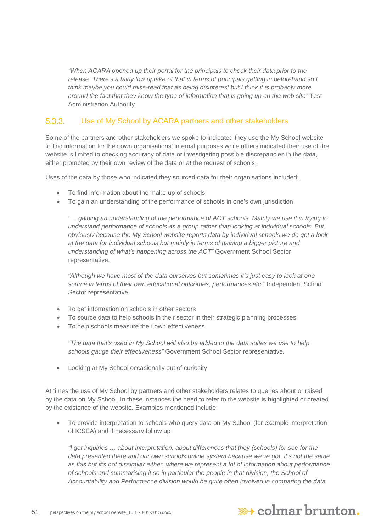*"When ACARA opened up their portal for the principals to check their data prior to the release. There's a fairly low uptake of that in terms of principals getting in beforehand so I think maybe you could miss-read that as being disinterest but I think it is probably more around the fact that they know the type of information that is going up on the web site"* Test Administration Authority*.*

#### $5.3.3.$ Use of My School by ACARA partners and other stakeholders

Some of the partners and other stakeholders we spoke to indicated they use the My School website to find information for their own organisations' internal purposes while others indicated their use of the website is limited to checking accuracy of data or investigating possible discrepancies in the data, either prompted by their own review of the data or at the request of schools.

Uses of the data by those who indicated they sourced data for their organisations included:

- To find information about the make-up of schools
- To gain an understanding of the performance of schools in one's own jurisdiction

*"… gaining an understanding of the performance of ACT schools. Mainly we use it in trying to understand performance of schools as a group rather than looking at individual schools. But obviously because the My School website reports data by individual schools we do get a look at the data for individual schools but mainly in terms of gaining a bigger picture and understanding of what's happening across the ACT"* Government School Sector representative.

*"Although we have most of the data ourselves but sometimes it's just easy to look at one source in terms of their own educational outcomes, performances etc."* Independent School Sector representative*.*

- To get information on schools in other sectors
- To source data to help schools in their sector in their strategic planning processes
- To help schools measure their own effectiveness

*"The data that's used in My School will also be added to the data suites we use to help schools gauge their effectiveness"* Government School Sector representative*.*

• Looking at My School occasionally out of curiosity

At times the use of My School by partners and other stakeholders relates to queries about or raised by the data on My School. In these instances the need to refer to the website is highlighted or created by the existence of the website. Examples mentioned include:

• To provide interpretation to schools who query data on My School (for example interpretation of ICSEA) and if necessary follow up

*"I get inquiries … about interpretation, about differences that they (schools) for see for the data presented there and our own schools online system because we've got, it's not the same as this but it's not dissimilar either, where we represent a lot of information about performance of schools and summarising it so in particular the people in that division, the School of Accountability and Performance division would be quite often involved in comparing the data* 

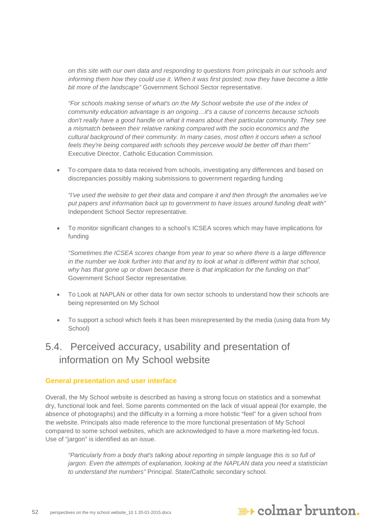*on this site with our own data and responding to questions from principals in our schools and informing them how they could use it. When it was first posted; now they have become a little bit more of the landscape"* Government School Sector representative.

*"For schools making sense of what's on the My School website the use of the index of community education advantage is an ongoing…it's a cause of concerns because schools don't really have a good handle on what it means about their particular community. They see a mismatch between their relative ranking compared with the socio economics and the cultural background of their community. In many cases, most often it occurs when a school feels they're being compared with schools they perceive would be better off than them"*  Executive Director, Catholic Education Commission*.*

• To compare data to data received from schools, investigating any differences and based on discrepancies possibly making submissions to government regarding funding

*"I've used the website to get their data and compare it and then through the anomalies we've put papers and information back up to government to have issues around funding dealt with"*  Independent School Sector representative*.*

• To monitor significant changes to a school's ICSEA scores which may have implications for funding

*"Sometimes the ICSEA scores change from year to year so where there is a large difference in the number we look further into that and try to look at what is different within that school, why has that gone up or down because there is that implication for the funding on that"*  Government School Sector representative*.*

- To Look at NAPLAN or other data for own sector schools to understand how their schools are being represented on My School
- To support a school which feels it has been misrepresented by the media (using data from My School)

## <span id="page-51-0"></span>5.4. Perceived accuracy, usability and presentation of information on My School website

#### **General presentation and user interface**

Overall, the My School website is described as having a strong focus on statistics and a somewhat dry, functional look and feel. Some parents commented on the lack of visual appeal (for example, the absence of photographs) and the difficulty in a forming a more holistic "feel" for a given school from the website. Principals also made reference to the more functional presentation of My School compared to some school websites, which are acknowledged to have a more marketing-led focus. Use of "jargon" is identified as an issue.

*"Particularly from a body that's talking about reporting in simple language this is so full of jargon. Even the attempts of explanation, looking at the NAPLAN data you need a statistician to understand the numbers"* Principal. State/Catholic secondary school.

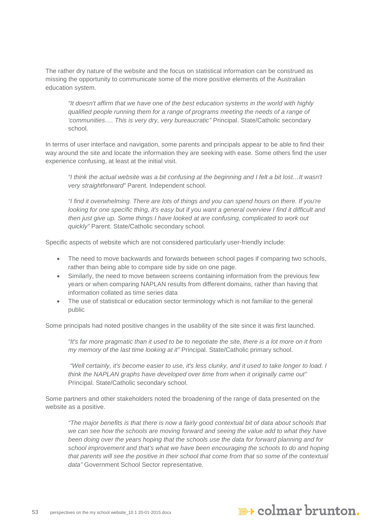The rather dry nature of the website and the focus on statistical information can be construed as missing the opportunity to communicate some of the more positive elements of the Australian education system.

*"It doesn't affirm that we have one of the best education systems in the world with highly qualified people running them for a range of programs meeting the needs of a range of 'communities…. This is very dry, very bureaucratic"* Principal. State/Catholic secondary school.

In terms of user interface and navigation, some parents and principals appear to be able to find their way around the site and locate the information they are seeking with ease. Some others find the user experience confusing, at least at the initial visit.

*"I think the actual website was a bit confusing at the beginning and I felt a bit lost…It wasn't very straightforward"* Parent. Independent school.

*"I find it overwhelming. There are lots of things and you can spend hours on there. If you're looking for one specific thing, it's easy but if you want a general overview I find it difficult and then just give up. Some things I have looked at are confusing, complicated to work out quickly"* Parent. State/Catholic secondary school.

Specific aspects of website which are not considered particularly user-friendly include:

- The need to move backwards and forwards between school pages if comparing two schools, rather than being able to compare side by side on one page.
- Similarly, the need to move between screens containing information from the previous few years or when comparing NAPLAN results from different domains, rather than having that information collated as time series data
- The use of statistical or education sector terminology which is not familiar to the general public

Some principals had noted positive changes in the usability of the site since it was first launched.

*"It's far more pragmatic than it used to be to negotiate the site, there is a lot more on it from my memory of the last time looking at it"* Principal. State/Catholic primary school.

*"Well certainly, it's become easier to use, it's less clunky, and it used to take longer to load. I think the NAPLAN graphs have developed over time from when it originally came out"* Principal. State/Catholic secondary school.

Some partners and other stakeholders noted the broadening of the range of data presented on the website as a positive.

*"The major benefits is that there is now a fairly good contextual bit of data about schools that*  we can see how the schools are moving forward and seeing the value add to what they have *been doing over the years hoping that the schools use the data for forward planning and for school improvement and that's what we have been encouraging the schools to do and hoping that parents will see the positive in their school that come from that so some of the contextual data"* Government School Sector representative*.*

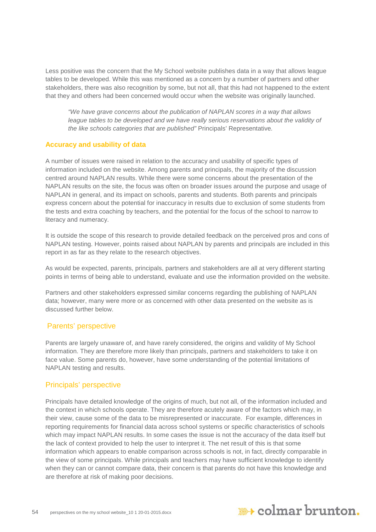Less positive was the concern that the My School website publishes data in a way that allows league tables to be developed. While this was mentioned as a concern by a number of partners and other stakeholders, there was also recognition by some, but not all, that this had not happened to the extent that they and others had been concerned would occur when the website was originally launched.

*"We have grave concerns about the publication of NAPLAN scores in a way that allows league tables to be developed and we have really serious reservations about the validity of the like schools categories that are published"* Principals' Representative*.*

#### **Accuracy and usability of data**

A number of issues were raised in relation to the accuracy and usability of specific types of information included on the website. Among parents and principals, the majority of the discussion centred around NAPLAN results. While there were some concerns about the presentation of the NAPLAN results on the site, the focus was often on broader issues around the purpose and usage of NAPLAN in general, and its impact on schools, parents and students. Both parents and principals express concern about the potential for inaccuracy in results due to exclusion of some students from the tests and extra coaching by teachers, and the potential for the focus of the school to narrow to literacy and numeracy.

It is outside the scope of this research to provide detailed feedback on the perceived pros and cons of NAPLAN testing. However, points raised about NAPLAN by parents and principals are included in this report in as far as they relate to the research objectives.

As would be expected, parents, principals, partners and stakeholders are all at very different starting points in terms of being able to understand, evaluate and use the information provided on the website.

Partners and other stakeholders expressed similar concerns regarding the publishing of NAPLAN data; however, many were more or as concerned with other data presented on the website as is discussed further below.

#### Parents' perspective

Parents are largely unaware of, and have rarely considered, the origins and validity of My School information. They are therefore more likely than principals, partners and stakeholders to take it on face value. Some parents do, however, have some understanding of the potential limitations of NAPLAN testing and results.

#### Principals' perspective

Principals have detailed knowledge of the origins of much, but not all, of the information included and the context in which schools operate. They are therefore acutely aware of the factors which may, in their view, cause some of the data to be misrepresented or inaccurate. For example, differences in reporting requirements for financial data across school systems or specific characteristics of schools which may impact NAPLAN results. In some cases the issue is not the accuracy of the data itself but the lack of context provided to help the user to interpret it. The net result of this is that some information which appears to enable comparison across schools is not, in fact, directly comparable in the view of some principals. While principals and teachers may have sufficient knowledge to identify when they can or cannot compare data, their concern is that parents do not have this knowledge and are therefore at risk of making poor decisions.

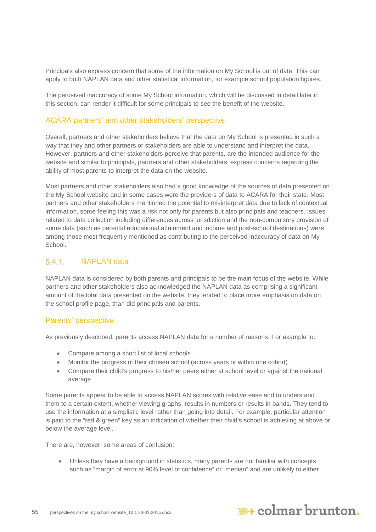Principals also express concern that some of the information on My School is out of date. This can apply to both NAPLAN data and other statistical information, for example school population figures.

The perceived inaccuracy of some My School information, which will be discussed in detail later in this section, can render it difficult for some principals to see the benefit of the website.

#### ACARA partners' and other stakeholders' perspective

Overall, partners and other stakeholders believe that the data on My School is presented in such a way that they and other partners or stakeholders are able to understand and interpret the data. However, partners and other stakeholders perceive that parents, are the intended audience for the website and similar to principals, partners and other stakeholders' express concerns regarding the ability of most parents to interpret the data on the website.

Most partners and other stakeholders also had a good knowledge of the sources of data presented on the My School website and in some cases were the providers of data to ACARA for their state. Most partners and other stakeholders mentioned the potential to misinterpret data due to lack of contextual information, some feeling this was a risk not only for parents but also principals and teachers. Issues related to data collection including differences across jurisdiction and the non-compulsory provision of some data (such as parental educational attainment and income and post-school destinations) were among those most frequently mentioned as contributing to the perceived inaccuracy of data on My School.

#### 541 NAPLAN data

NAPLAN data is considered by both parents and principals to be the main focus of the website. While partners and other stakeholders also acknowledged the NAPLAN data as comprising a significant amount of the total data presented on the website, they tended to place more emphasis on data on the school profile page, than did principals and parents.

#### Parents' perspective

As previously described, parents access NAPLAN data for a number of reasons. For example to:

- Compare among a short list of local schools
- Monitor the progress of their chosen school (across years or within one cohort)
- Compare their child's progress to his/her peers either at school level or against the national average

Some parents appear to be able to access NAPLAN scores with relative ease and to understand them to a certain extent, whether viewing graphs, results in numbers or results in bands. They tend to use the information at a simplistic level rather than going into detail. For example, particular attention is paid to the "red & green" key as an indication of whether their child's school is achieving at above or below the average level.

There are, however, some areas of confusion:

• Unless they have a background in statistics, many parents are not familiar with concepts such as "margin of error at 90% level of confidence" or "median" and are unlikely to either

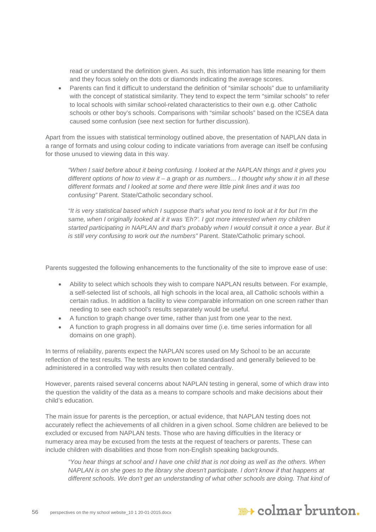read or understand the definition given. As such, this information has little meaning for them and they focus solely on the dots or diamonds indicating the average scores.

• Parents can find it difficult to understand the definition of "similar schools" due to unfamiliarity with the concept of statistical similarity. They tend to expect the term "similar schools" to refer to local schools with similar school-related characteristics to their own e.g. other Catholic schools or other boy's schools. Comparisons with "similar schools" based on the ICSEA data caused some confusion (see next section for further discussion).

Apart from the issues with statistical terminology outlined above, the presentation of NAPLAN data in a range of formats and using colour coding to indicate variations from average can itself be confusing for those unused to viewing data in this way.

*"When I said before about it being confusing. I looked at the NAPLAN things and it gives you different options of how to view it – a graph or as numbers… I thought why show it in all these different formats and I looked at some and there were little pink lines and it was too confusing"* Parent. State/Catholic secondary school.

*"It is very statistical based which I suppose that's what you tend to look at it for but I'm the*  same, when I originally looked at it it was 'Eh?'. I got more interested when my children *started participating in NAPLAN and that's probably when I would consult it once a year. But it is still very confusing to work out the numbers"* Parent. State/Catholic primary school.

Parents suggested the following enhancements to the functionality of the site to improve ease of use:

- Ability to select which schools they wish to compare NAPLAN results between. For example, a self-selected list of schools, all high schools in the local area, all Catholic schools within a certain radius. In addition a facility to view comparable information on one screen rather than needing to see each school's results separately would be useful.
- A function to graph change over time, rather than just from one year to the next.
- A function to graph progress in all domains over time (i.e. time series information for all domains on one graph).

In terms of reliability, parents expect the NAPLAN scores used on My School to be an accurate reflection of the test results. The tests are known to be standardised and generally believed to be administered in a controlled way with results then collated centrally.

However, parents raised several concerns about NAPLAN testing in general, some of which draw into the question the validity of the data as a means to compare schools and make decisions about their child's education.

The main issue for parents is the perception, or actual evidence, that NAPLAN testing does not accurately reflect the achievements of all children in a given school. Some children are believed to be excluded or excused from NAPLAN tests. Those who are having difficulties in the literacy or numeracy area may be excused from the tests at the request of teachers or parents. These can include children with disabilities and those from non-English speaking backgrounds.

*"You hear things at school and I have one child that is not doing as well as the others. When NAPLAN is on she goes to the library she doesn't participate. I don't know if that happens at*  different schools. We don't get an understanding of what other schools are doing. That kind of

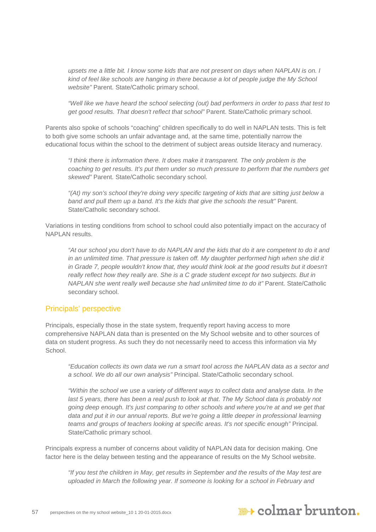*upsets me a little bit. I know some kids that are not present on days when NAPLAN is on. I kind of feel like schools are hanging in there because a lot of people judge the My School website"* Parent. State/Catholic primary school.

*"Well like we have heard the school selecting (out) bad performers in order to pass that test to get good results. That doesn't reflect that school"* Parent. State/Catholic primary school.

Parents also spoke of schools "coaching" children specifically to do well in NAPLAN tests. This is felt to both give some schools an unfair advantage and, at the same time, potentially narrow the educational focus within the school to the detriment of subject areas outside literacy and numeracy.

*"I think there is information there. It does make it transparent. The only problem is the coaching to get results. It's put them under so much pressure to perform that the numbers get skewed"* Parent. State/Catholic secondary school.

*"(At) my son's school they're doing very specific targeting of kids that are sitting just below a band and pull them up a band. It's the kids that give the schools the result"* Parent. State/Catholic secondary school.

Variations in testing conditions from school to school could also potentially impact on the accuracy of NAPLAN results.

*"At our school you don't have to do NAPLAN and the kids that do it are competent to do it and in an unlimited time. That pressure is taken off. My daughter performed high when she did it* in Grade 7, people wouldn't know that, they would think look at the good results but it doesn't really reflect how they really are. She is a C grade student except for two subjects. But in *NAPLAN she went really well because she had unlimited time to do it"* Parent. State/Catholic secondary school.

#### Principals' perspective

Principals, especially those in the state system, frequently report having access to more comprehensive NAPLAN data than is presented on the My School website and to other sources of data on student progress. As such they do not necessarily need to access this information via My **School**.

*"Education collects its own data we run a smart tool across the NAPLAN data as a sector and a school. We do all our own analysis"* Principal. State/Catholic secondary school.

*"Within the school we use a variety of different ways to collect data and analyse data. In the*  last 5 years, there has been a real push to look at that. The My School data is probably not *going deep enough. It's just comparing to other schools and where you're at and we get that data and put it in our annual reports. But we're going a little deeper in professional learning teams and groups of teachers looking at specific areas. It's not specific enough"* Principal. State/Catholic primary school.

Principals express a number of concerns about validity of NAPLAN data for decision making. One factor here is the delay between testing and the appearance of results on the My School website.

*"If you test the children in May, get results in September and the results of the May test are uploaded in March the following year. If someone is looking for a school in February and* 

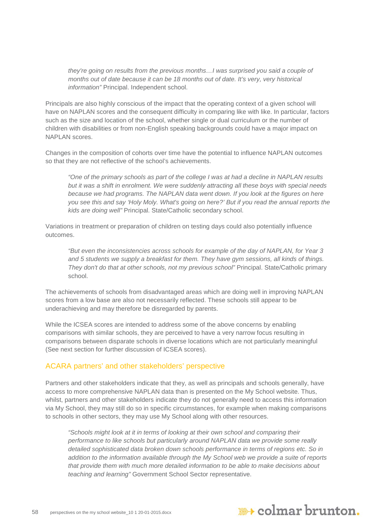*they're going on results from the previous months…I was surprised you said a couple of months out of date because it can be 18 months out of date. It's very, very historical information"* Principal. Independent school.

Principals are also highly conscious of the impact that the operating context of a given school will have on NAPLAN scores and the consequent difficulty in comparing like with like. In particular, factors such as the size and location of the school, whether single or dual curriculum or the number of children with disabilities or from non-English speaking backgrounds could have a major impact on NAPLAN scores.

Changes in the composition of cohorts over time have the potential to influence NAPLAN outcomes so that they are not reflective of the school's achievements.

*"One of the primary schools as part of the college I was at had a decline in NAPLAN results but it was a shift in enrolment. We were suddenly attracting all these boys with special needs because we had programs. The NAPLAN data went down. If you look at the figures on here you see this and say 'Holy Moly. What's going on here?' But if you read the annual reports the kids are doing well"* Principal. State/Catholic secondary school.

Variations in treatment or preparation of children on testing days could also potentially influence outcomes.

*"But even the inconsistencies across schools for example of the day of NAPLAN, for Year 3 and 5 students we supply a breakfast for them. They have gym sessions, all kinds of things. They don't do that at other schools, not my previous school"* Principal. State/Catholic primary school.

The achievements of schools from disadvantaged areas which are doing well in improving NAPLAN scores from a low base are also not necessarily reflected. These schools still appear to be underachieving and may therefore be disregarded by parents.

While the ICSEA scores are intended to address some of the above concerns by enabling comparisons with similar schools, they are perceived to have a very narrow focus resulting in comparisons between disparate schools in diverse locations which are not particularly meaningful (See next section for further discussion of ICSEA scores).

#### ACARA partners' and other stakeholders' perspective

Partners and other stakeholders indicate that they, as well as principals and schools generally, have access to more comprehensive NAPLAN data than is presented on the My School website. Thus, whilst, partners and other stakeholders indicate they do not generally need to access this information via My School, they may still do so in specific circumstances, for example when making comparisons to schools in other sectors, they may use My School along with other resources.

*"Schools might look at it in terms of looking at their own school and comparing their performance to like schools but particularly around NAPLAN data we provide some really detailed sophisticated data broken down schools performance in terms of regions etc. So in addition to the information available through the My School web we provide a suite of reports that provide them with much more detailed information to be able to make decisions about teaching and learning"* Government School Sector representative.

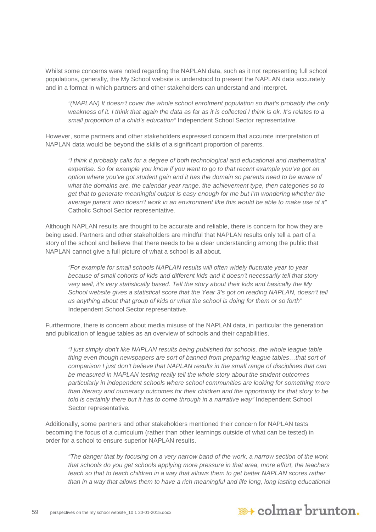Whilst some concerns were noted regarding the NAPLAN data, such as it not representing full school populations, generally, the My School website is understood to present the NAPLAN data accurately and in a format in which partners and other stakeholders can understand and interpret.

*"(NAPLAN) It doesn't cover the whole school enrolment population so that's probably the only weakness of it. I think that again the data as far as it is collected I think is ok. It's relates to a small proportion of a child's education"* Independent School Sector representative*.*

However, some partners and other stakeholders expressed concern that accurate interpretation of NAPLAN data would be beyond the skills of a significant proportion of parents.

*"I think it probably calls for a degree of both technological and educational and mathematical expertise. So for example you know if you want to go to that recent example you've got an option where you've got student gain and it has the domain so parents need to be aware of what the domains are, the calendar year range, the achievement type, then categories so to get that to generate meaningful output is easy enough for me but I'm wondering whether the average parent who doesn't work in an environment like this would be able to make use of it"*  Catholic School Sector representative*.*

Although NAPLAN results are thought to be accurate and reliable, there is concern for how they are being used. Partners and other stakeholders are mindful that NAPLAN results only tell a part of a story of the school and believe that there needs to be a clear understanding among the public that NAPLAN cannot give a full picture of what a school is all about.

*"For example for small schools NAPLAN results will often widely fluctuate year to year because of small cohorts of kids and different kids and it doesn't necessarily tell that story very well, it's very statistically based. Tell the story about their kids and basically the My School website gives a statistical score that the Year 3's got on reading NAPLAN, doesn't tell us anything about that group of kids or what the school is doing for them or so forth"*  Independent School Sector representative.

Furthermore, there is concern about media misuse of the NAPLAN data, in particular the generation and publication of league tables as an overview of schools and their capabilities.

*"I just simply don't like NAPLAN results being published for schools, the whole league table thing even though newspapers are sort of banned from preparing league tables…that sort of comparison I just don't believe that NAPLAN results in the small range of disciplines that can be measured in NAPLAN testing really tell the whole story about the student outcomes particularly in independent schools where school communities are looking for something more than literacy and numeracy outcomes for their children and the opportunity for that story to be told is certainly there but it has to come through in a narrative way"* Independent School Sector representative*.*

Additionally, some partners and other stakeholders mentioned their concern for NAPLAN tests becoming the focus of a curriculum (rather than other learnings outside of what can be tested) in order for a school to ensure superior NAPLAN results.

*"The danger that by focusing on a very narrow band of the work, a narrow section of the work that schools do you get schools applying more pressure in that area, more effort, the teachers teach so that to teach children in a way that allows them to get better NAPLAN scores rather* than in a way that allows them to have a rich meaningful and life long, long lasting educational

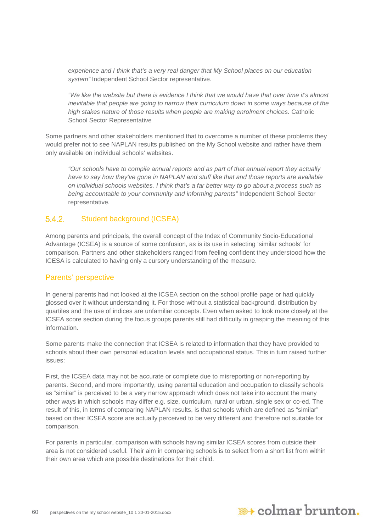*experience and I think that's a very real danger that My School places on our education system"* Independent School Sector representative.

*"We like the website but there is evidence I think that we would have that over time it's almost inevitable that people are going to narrow their curriculum down in some ways because of the high stakes nature of those results when people are making enrolment choices.* Catholic School Sector Representative

Some partners and other stakeholders mentioned that to overcome a number of these problems they would prefer not to see NAPLAN results published on the My School website and rather have them only available on individual schools' websites.

*"Our schools have to compile annual reports and as part of that annual report they actually have to say how they've gone in NAPLAN and stuff like that and those reports are available on individual schools websites. I think that's a far better way to go about a process such as being accountable to your community and informing parents"* Independent School Sector representative*.*

#### $5.4.2.$ Student background (ICSEA)

Among parents and principals, the overall concept of the Index of Community Socio-Educational Advantage (ICSEA) is a source of some confusion, as is its use in selecting 'similar schools' for comparison. Partners and other stakeholders ranged from feeling confident they understood how the ICESA is calculated to having only a cursory understanding of the measure.

#### Parents' perspective

In general parents had not looked at the ICSEA section on the school profile page or had quickly glossed over it without understanding it. For those without a statistical background, distribution by quartiles and the use of indices are unfamiliar concepts. Even when asked to look more closely at the ICSEA score section during the focus groups parents still had difficulty in grasping the meaning of this information.

Some parents make the connection that ICSEA is related to information that they have provided to schools about their own personal education levels and occupational status. This in turn raised further issues:

First, the ICSEA data may not be accurate or complete due to misreporting or non-reporting by parents. Second, and more importantly, using parental education and occupation to classify schools as "similar" is perceived to be a very narrow approach which does not take into account the many other ways in which schools may differ e.g. size, curriculum, rural or urban, single sex or co-ed. The result of this, in terms of comparing NAPLAN results, is that schools which are defined as "similar" based on their ICSEA score are actually perceived to be very different and therefore not suitable for comparison.

For parents in particular, comparison with schools having similar ICSEA scores from outside their area is not considered useful. Their aim in comparing schools is to select from a short list from within their own area which are possible destinations for their child.

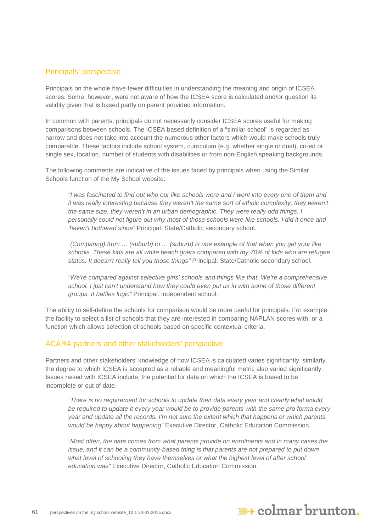#### Principals' perspective

Principals on the whole have fewer difficulties in understanding the meaning and origin of ICSEA scores. Some, however, were not aware of how the ICSEA score is calculated and/or question its validity given that is based partly on parent provided information.

In common with parents, principals do not necessarily consider ICSEA scores useful for making comparisons between schools. The ICSEA based definition of a "similar school" is regarded as narrow and does not take into account the numerous other factors which would make schools truly comparable. These factors include school system, curriculum (e.g. whether single or dual), co-ed or single sex, location, number of students with disabilities or from non-English speaking backgrounds.

The following comments are indicative of the issues faced by principals when using the Similar Schools function of the My School website.

*"I was fascinated to find out who our like schools were and I went into every one of them and it was really interesting because they weren't the same sort of ethnic complexity, they weren't the same size, they weren't in an urban demographic. They were really odd things. I personally could not figure out why most of those schools were like schools. I did it once and 'haven't bothered since"* Principal. State/Catholic secondary school.

*"(Comparing) from … (suburb) to … (suburb) is one example of that when you get your like schools. These kids are all white beach goers compared with my 70% of kids who are refugee status. It doesn't really tell you those things"* Principal. State/Catholic secondary school.

*"We're compared against selective girls' schools and things like that. We're a comprehensive school. I just can't understand how they could even put us in with some of those different groups. It baffles logic"* Principal. Independent school.

The ability to self-define the schools for comparison would be more useful for principals. For example, the facility to select a list of schools that they are interested in comparing NAPLAN scores with, or a function which allows selection of schools based on specific contextual criteria.

#### ACARA partners and other stakeholders' perspective

Partners and other stakeholders' knowledge of how ICSEA is calculated varies significantly, similarly, the degree to which ICSEA is accepted as a reliable and meaningful metric also varied significantly. Issues raised with ICSEA include, the potential for data on which the ICSEA is based to be incomplete or out of date.

*"There is no requirement for schools to update their data every year and clearly what would be required to update it every year would be to provide parents with the same pro forma every year and update all the records. I'm not sure the extent which that happens or which parents would be happy about happening"* Executive Director, Catholic Education Commission.

*"Most often, the data comes from what parents provide on enrolments and in many cases the issue, and it can be a community-based thing is that parents are not prepared to put down what level of schooling they have themselves or what the highest level of after school education was"* Executive Director, Catholic Education Commission.

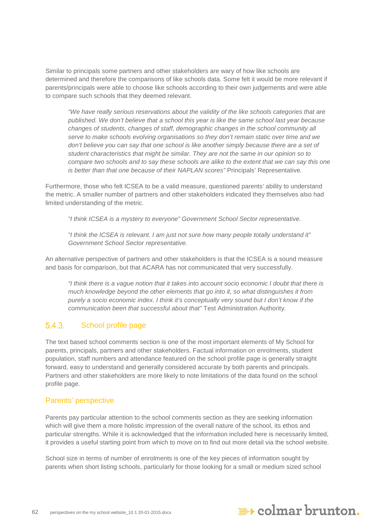Similar to principals some partners and other stakeholders are wary of how like schools are determined and therefore the comparisons of like schools data. Some felt it would be more relevant if parents/principals were able to choose like schools according to their own judgements and were able to compare such schools that they deemed relevant.

*"We have really serious reservations about the validity of the like schools categories that are published. We don't believe that a school this year is like the same school last year because changes of students, changes of staff, demographic changes in the school community all serve to make schools evolving organisations so they don't remain static over time and we don't believe you can say that one school is like another simply because there are a set of student characteristics that might be similar. They are not the same in our opinion so to compare two schools and to say these schools are alike to the extent that we can say this one is better than that one because of their NAPLAN scores"* Principals' Representative*.* 

Furthermore, those who felt ICSEA to be a valid measure, questioned parents' ability to understand the metric. A smaller number of partners and other stakeholders indicated they themselves also had limited understanding of the metric.

*"I think ICSEA is a mystery to everyone" Government School Sector representative.*

*"I think the ICSEA is relevant. I am just not sure how many people totally understand it" Government School Sector representative.*

An alternative perspective of partners and other stakeholders is that the ICSEA is a sound measure and basis for comparison, but that ACARA has not communicated that very successfully.

*"I think there is a vague notion that it takes into account socio economic I doubt that there is much knowledge beyond the other elements that go into it, so what distinguishes it from purely a socio economic index. I think it's conceptually very sound but I don't know if the communication been that successful about that"* Test Administration Authority*.*

#### 5.4.3 School profile page

The text based school comments section is one of the most important elements of My School for parents, principals, partners and other stakeholders. Factual information on enrolments, student population, staff numbers and attendance featured on the school profile page is generally straight forward, easy to understand and generally considered accurate by both parents and principals. Partners and other stakeholders are more likely to note limitations of the data found on the school profile page.

#### Parents' perspective

Parents pay particular attention to the school comments section as they are seeking information which will give them a more holistic impression of the overall nature of the school, its ethos and particular strengths. While it is acknowledged that the information included here is necessarily limited, it provides a useful starting point from which to move on to find out more detail via the school website.

School size in terms of number of enrolments is one of the key pieces of information sought by parents when short listing schools, particularly for those looking for a small or medium sized school

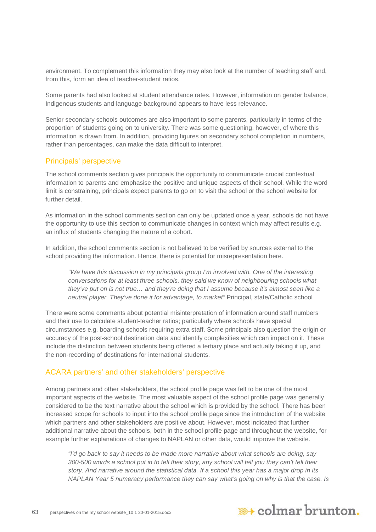environment. To complement this information they may also look at the number of teaching staff and, from this, form an idea of teacher-student ratios.

Some parents had also looked at student attendance rates. However, information on gender balance, Indigenous students and language background appears to have less relevance.

Senior secondary schools outcomes are also important to some parents, particularly in terms of the proportion of students going on to university. There was some questioning, however, of where this information is drawn from. In addition, providing figures on secondary school completion in numbers, rather than percentages, can make the data difficult to interpret.

#### Principals' perspective

The school comments section gives principals the opportunity to communicate crucial contextual information to parents and emphasise the positive and unique aspects of their school. While the word limit is constraining, principals expect parents to go on to visit the school or the school website for further detail.

As information in the school comments section can only be updated once a year, schools do not have the opportunity to use this section to communicate changes in context which may affect results e.g. an influx of students changing the nature of a cohort.

In addition, the school comments section is not believed to be verified by sources external to the school providing the information. Hence, there is potential for misrepresentation here.

*"We have this discussion in my principals group I'm involved with. One of the interesting conversations for at least three schools, they said we know of neighbouring schools what they've put on is not true… and they're doing that I assume because it's almost seen like a neutral player. They've done it for advantage, to market"* Principal, state/Catholic school

There were some comments about potential misinterpretation of information around staff numbers and their use to calculate student-teacher ratios; particularly where schools have special circumstances e.g. boarding schools requiring extra staff. Some principals also question the origin or accuracy of the post-school destination data and identify complexities which can impact on it. These include the distinction between students being offered a tertiary place and actually taking it up, and the non-recording of destinations for international students.

#### ACARA partners' and other stakeholders' perspective

Among partners and other stakeholders, the school profile page was felt to be one of the most important aspects of the website. The most valuable aspect of the school profile page was generally considered to be the text narrative about the school which is provided by the school. There has been increased scope for schools to input into the school profile page since the introduction of the website which partners and other stakeholders are positive about. However, most indicated that further additional narrative about the schools, both in the school profile page and throughout the website, for example further explanations of changes to NAPLAN or other data, would improve the website.

*"I'd go back to say it needs to be made more narrative about what schools are doing, say 300-500 words a school put in to tell their story, any school will tell you they can't tell their story. And narrative around the statistical data. If a school this year has a major drop in its NAPLAN Year 5 numeracy performance they can say what's going on why is that the case. Is* 

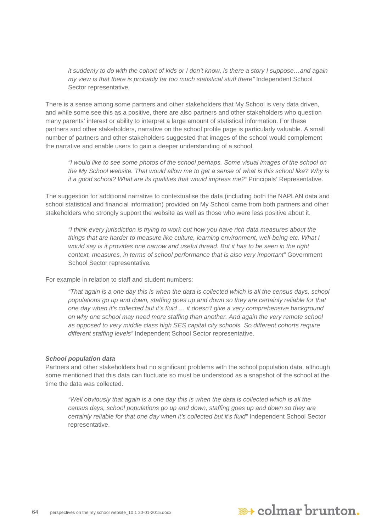*it suddenly to do with the cohort of kids or I don't know, is there a story I suppose…and again my view is that there is probably far too much statistical stuff there"* Independent School Sector representative*.*

There is a sense among some partners and other stakeholders that My School is very data driven, and while some see this as a positive, there are also partners and other stakeholders who question many parents' interest or ability to interpret a large amount of statistical information. For these partners and other stakeholders, narrative on the school profile page is particularly valuable. A small number of partners and other stakeholders suggested that images of the school would complement the narrative and enable users to gain a deeper understanding of a school.

*"I would like to see some photos of the school perhaps. Some visual images of the school on the My School website. That would allow me to get a sense of what is this school like? Why is it a good school? What are its qualities that would impress me?"* Principals' Representative*.*

The suggestion for additional narrative to contextualise the data (including both the NAPLAN data and school statistical and financial information) provided on My School came from both partners and other stakeholders who strongly support the website as well as those who were less positive about it.

*"I think every jurisdiction is trying to work out how you have rich data measures about the things that are harder to measure like culture, learning environment, well-being etc. What I would say is it provides one narrow and useful thread. But it has to be seen in the right context, measures, in terms of school performance that is also very important"* Government School Sector representative*.*

For example in relation to staff and student numbers:

*"That again is a one day this is when the data is collected which is all the census days, school populations go up and down, staffing goes up and down so they are certainly reliable for that one day when it's collected but it's fluid … it doesn't give a very comprehensive background on why one school may need more staffing than another. And again the very remote school as opposed to very middle class high SES capital city schools. So different cohorts require different staffing levels"* Independent School Sector representative.

#### *School population data*

Partners and other stakeholders had no significant problems with the school population data, although some mentioned that this data can fluctuate so must be understood as a snapshot of the school at the time the data was collected.

*"Well obviously that again is a one day this is when the data is collected which is all the census days, school populations go up and down, staffing goes up and down so they are certainly reliable for that one day when it's collected but it's fluid"* Independent School Sector representative.

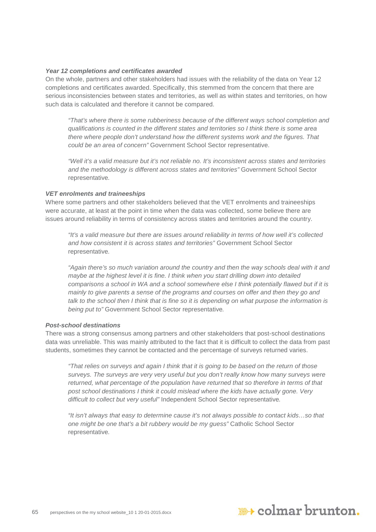#### *Year 12 completions and certificates awarded*

On the whole, partners and other stakeholders had issues with the reliability of the data on Year 12 completions and certificates awarded. Specifically, this stemmed from the concern that there are serious inconsistencies between states and territories, as well as within states and territories, on how such data is calculated and therefore it cannot be compared.

*"That's where there is some rubberiness because of the different ways school completion and qualifications is counted in the different states and territories so I think there is some area there where people don't understand how the different systems work and the figures. That could be an area of concern"* Government School Sector representative.

*"Well it's a valid measure but it's not reliable no. It's inconsistent across states and territories and the methodology is different across states and territories"* Government School Sector representative*.*

#### *VET enrolments and traineeships*

Where some partners and other stakeholders believed that the VET enrolments and traineeships were accurate, at least at the point in time when the data was collected, some believe there are issues around reliability in terms of consistency across states and territories around the country.

*"It's a valid measure but there are issues around reliability in terms of how well it's collected and how consistent it is across states and territories"* Government School Sector representative*.*

*"Again there's so much variation around the country and then the way schools deal with it and maybe at the highest level it is fine. I think when you start drilling down into detailed comparisons a school in WA and a school somewhere else I think potentially flawed but if it is mainly to give parents a sense of the programs and courses on offer and then they go and talk to the school then I think that is fine so it is depending on what purpose the information is being put to"* Government School Sector representative*.*

#### *Post-school destinations*

There was a strong consensus among partners and other stakeholders that post-school destinations data was unreliable. This was mainly attributed to the fact that it is difficult to collect the data from past students, sometimes they cannot be contacted and the percentage of surveys returned varies.

*"That relies on surveys and again I think that it is going to be based on the return of those surveys. The surveys are very very useful but you don't really know how many surveys were returned, what percentage of the population have returned that so therefore in terms of that post school destinations I think it could mislead where the kids have actually gone. Very difficult to collect but very useful"* Independent School Sector representative*.*

*"It isn't always that easy to determine cause it's not always possible to contact kids…so that one might be one that's a bit rubbery would be my guess"* Catholic School Sector representative*.*

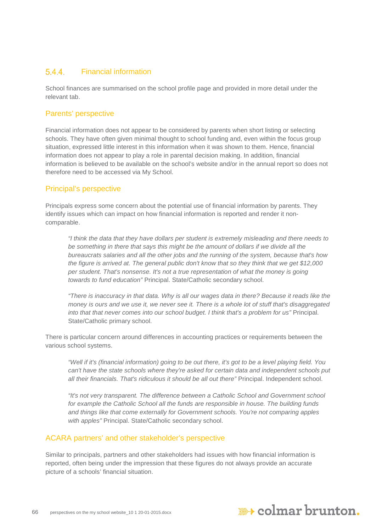#### $5.4.4.$ Financial information

School finances are summarised on the school profile page and provided in more detail under the relevant tab.

#### Parents' perspective

Financial information does not appear to be considered by parents when short listing or selecting schools. They have often given minimal thought to school funding and, even within the focus group situation, expressed little interest in this information when it was shown to them. Hence, financial information does not appear to play a role in parental decision making. In addition, financial information is believed to be available on the school's website and/or in the annual report so does not therefore need to be accessed via My School.

#### Principal's perspective

Principals express some concern about the potential use of financial information by parents. They identify issues which can impact on how financial information is reported and render it noncomparable.

*"I think the data that they have dollars per student is extremely misleading and there needs to be something in there that says this might be the amount of dollars if we divide all the bureaucrats salaries and all the other jobs and the running of the system, because that's how the figure is arrived at. The general public don't know that so they think that we get \$12,000 per student. That's nonsense. It's not a true representation of what the money is going towards to fund education"* Principal. State/Catholic secondary school.

*"There is inaccuracy in that data. Why is all our wages data in there? Because it reads like the money is ours and we use it, we never see it. There is a whole lot of stuff that's disaggregated into that that never comes into our school budget. I think that's a problem for us"* Principal. State/Catholic primary school.

There is particular concern around differences in accounting practices or requirements between the various school systems.

*"Well if it's (financial information) going to be out there, it's got to be a level playing field. You can't have the state schools where they're asked for certain data and independent schools put all their financials. That's ridiculous it should be all out there"* Principal. Independent school.

*"It's not very transparent. The difference between a Catholic School and Government school for example the Catholic School all the funds are responsible in house. The building funds and things like that come externally for Government schools. You're not comparing apples with apples"* Principal. State/Catholic secondary school.

#### ACARA partners' and other stakeholder's perspective

Similar to principals, partners and other stakeholders had issues with how financial information is reported, often being under the impression that these figures do not always provide an accurate picture of a schools' financial situation.

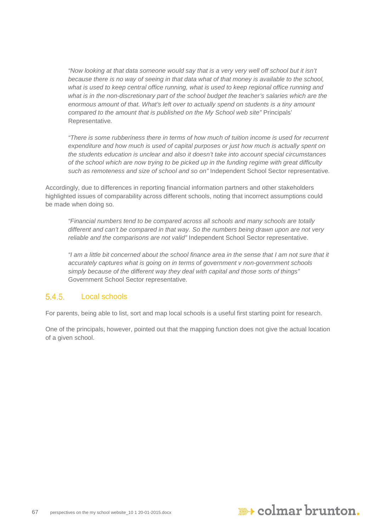*"Now looking at that data someone would say that is a very very well off school but it isn't because there is no way of seeing in that data what of that money is available to the school, what is used to keep central office running, what is used to keep regional office running and what is in the non-discretionary part of the school budget the teacher's salaries which are the enormous amount of that. What's left over to actually spend on students is a tiny amount compared to the amount that is published on the My School web site"* Principals' Representative*.*

*"There is some rubberiness there in terms of how much of tuition income is used for recurrent expenditure and how much is used of capital purposes or just how much is actually spent on the students education is unclear and also it doesn't take into account special circumstances of the school which are now trying to be picked up in the funding regime with great difficulty such as remoteness and size of school and so on"* Independent School Sector representative*.*

Accordingly, due to differences in reporting financial information partners and other stakeholders highlighted issues of comparability across different schools, noting that incorrect assumptions could be made when doing so.

*"Financial numbers tend to be compared across all schools and many schools are totally different and can't be compared in that way. So the numbers being drawn upon are not very reliable and the comparisons are not valid"* Independent School Sector representative.

*"I am a little bit concerned about the school finance area in the sense that I am not sure that it accurately captures what is going on in terms of government v non-government schools simply because of the different way they deal with capital and those sorts of things"*  Government School Sector representative.

#### 5.4.5 Local schools

For parents, being able to list, sort and map local schools is a useful first starting point for research.

One of the principals, however, pointed out that the mapping function does not give the actual location of a given school.